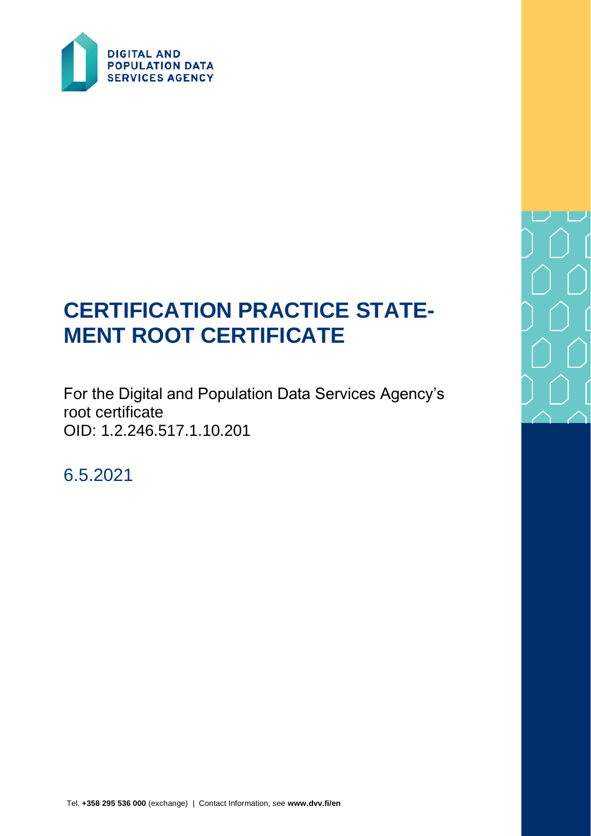

# **CERTIFICATION PRACTICE STATE-MENT ROOT CERTIFICATE**

For the Digital and Population Data Services Agency's root certificate OID: 1.2.246.517.1.10.201

6.5.2021

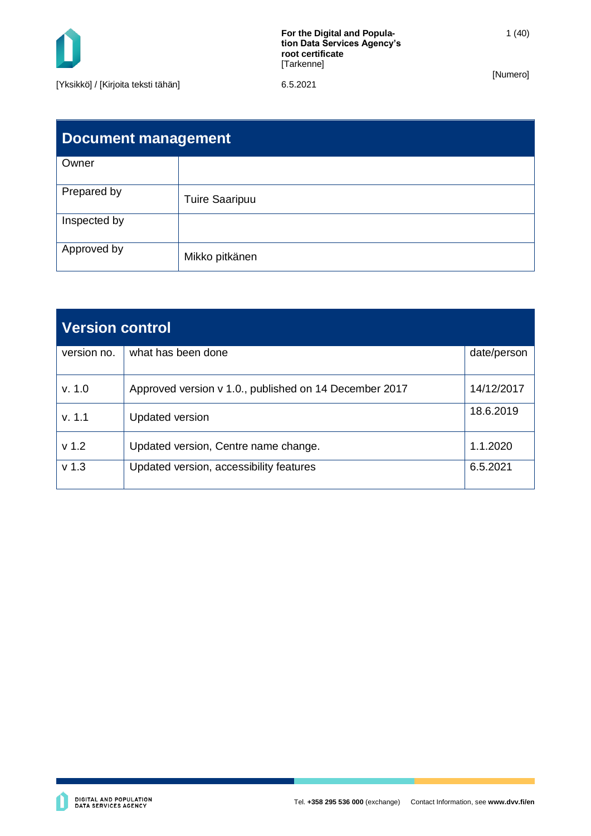

| <b>Document management</b> |                       |  |  |
|----------------------------|-----------------------|--|--|
| Owner                      |                       |  |  |
| Prepared by                | <b>Tuire Saaripuu</b> |  |  |
| Inspected by               |                       |  |  |
| Approved by                | Mikko pitkänen        |  |  |

| <b>Version control</b> |                                                        |             |  |
|------------------------|--------------------------------------------------------|-------------|--|
| version no.            | what has been done                                     | date/person |  |
| v. 1.0                 | Approved version v 1.0., published on 14 December 2017 | 14/12/2017  |  |
| v. 1.1                 | <b>Updated version</b>                                 | 18.6.2019   |  |
| v <sub>1.2</sub>       | Updated version, Centre name change.                   | 1.1.2020    |  |
| v <sub>1.3</sub>       | Updated version, accessibility features                | 6.5.2021    |  |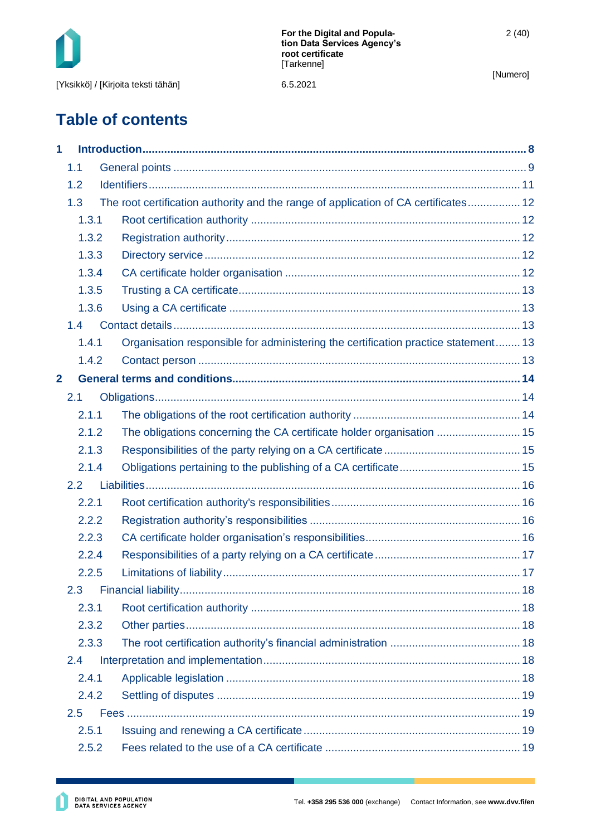

# **Table of contents**

| 1              |       |       |                                                                                     |  |
|----------------|-------|-------|-------------------------------------------------------------------------------------|--|
|                | 1.1   |       |                                                                                     |  |
|                | 1.2   |       |                                                                                     |  |
|                | 1.3   |       | The root certification authority and the range of application of CA certificates 12 |  |
|                | 1.3.1 |       |                                                                                     |  |
|                | 1.3.2 |       |                                                                                     |  |
|                |       | 1.3.3 |                                                                                     |  |
|                |       | 1.3.4 |                                                                                     |  |
|                |       | 1.3.5 |                                                                                     |  |
|                |       | 1.3.6 |                                                                                     |  |
|                | 1.4   |       |                                                                                     |  |
|                | 1.4.1 |       | Organisation responsible for administering the certification practice statement 13  |  |
|                | 1.4.2 |       |                                                                                     |  |
| $\overline{2}$ |       |       |                                                                                     |  |
|                | 2.1   |       |                                                                                     |  |
|                | 2.1.1 |       |                                                                                     |  |
|                | 2.1.2 |       | The obligations concerning the CA certificate holder organisation  15               |  |
|                | 2.1.3 |       |                                                                                     |  |
|                | 2.1.4 |       |                                                                                     |  |
|                | 2.2   |       |                                                                                     |  |
|                | 2.2.1 |       |                                                                                     |  |
|                | 2.2.2 |       |                                                                                     |  |
|                | 2.2.3 |       |                                                                                     |  |
|                | 2.2.4 |       |                                                                                     |  |
|                | 2.2.5 |       |                                                                                     |  |
|                | 2.3   |       |                                                                                     |  |
|                | 2.3.1 |       |                                                                                     |  |
|                | 2.3.2 |       |                                                                                     |  |
|                | 2.3.3 |       |                                                                                     |  |
|                | 2.4   |       |                                                                                     |  |
|                | 2.4.1 |       |                                                                                     |  |
|                | 2.4.2 |       |                                                                                     |  |
|                | 2.5   |       |                                                                                     |  |
|                | 2.5.1 |       |                                                                                     |  |
|                | 2.5.2 |       |                                                                                     |  |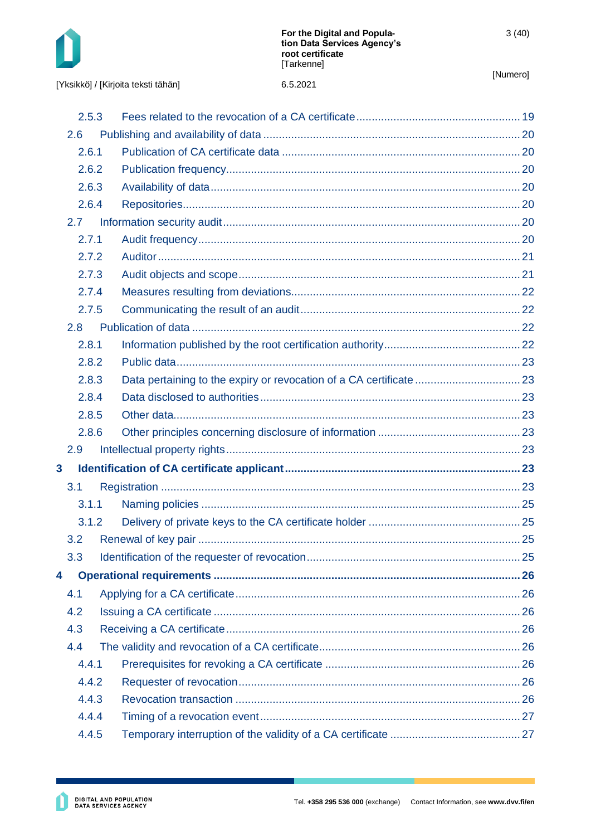

6.5.2021

|                         | 2.5.3 |  |  |
|-------------------------|-------|--|--|
|                         | 2.6   |  |  |
|                         | 2.6.1 |  |  |
|                         | 2.6.2 |  |  |
|                         | 2.6.3 |  |  |
|                         | 2.6.4 |  |  |
|                         | 2.7   |  |  |
|                         | 2.7.1 |  |  |
|                         | 2.7.2 |  |  |
|                         | 2.7.3 |  |  |
|                         | 2.7.4 |  |  |
|                         | 2.7.5 |  |  |
|                         | 2.8   |  |  |
|                         | 2.8.1 |  |  |
|                         | 2.8.2 |  |  |
|                         | 2.8.3 |  |  |
|                         | 2.8.4 |  |  |
|                         | 2.8.5 |  |  |
|                         | 2.8.6 |  |  |
|                         | 2.9   |  |  |
| $\overline{\mathbf{3}}$ |       |  |  |
|                         | 3.1   |  |  |
|                         | 3.1.1 |  |  |
|                         | 3.1.2 |  |  |
|                         | 3.2   |  |  |
|                         | 3.3   |  |  |
| 4                       |       |  |  |
|                         | 4.1   |  |  |
|                         | 4.2   |  |  |
|                         | 4.3   |  |  |
|                         | 4.4   |  |  |
|                         | 4.4.1 |  |  |
|                         | 4.4.2 |  |  |
|                         | 4.4.3 |  |  |
|                         | 4.4.4 |  |  |
|                         | 4.4.5 |  |  |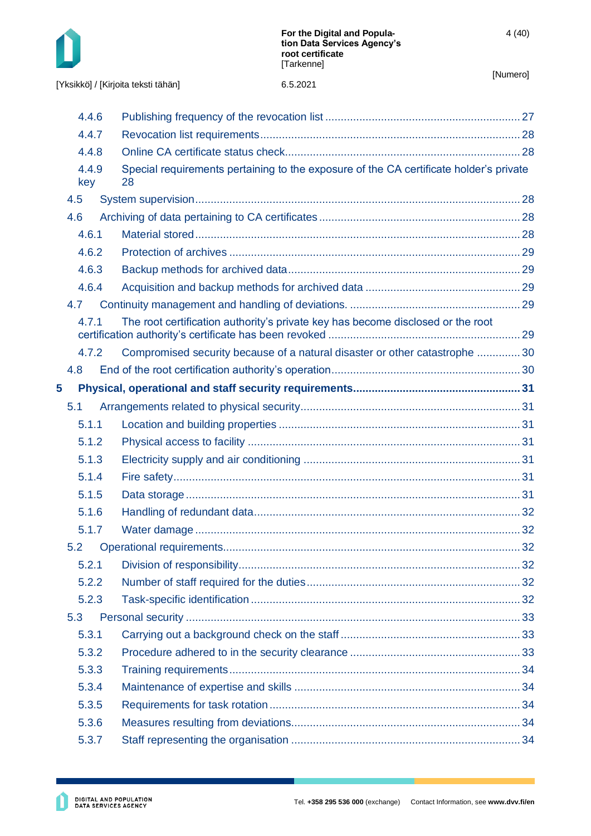

|   | 4.4.6        |                                                                                              |  |
|---|--------------|----------------------------------------------------------------------------------------------|--|
|   | 4.4.7        |                                                                                              |  |
|   | 4.4.8        |                                                                                              |  |
|   | 4.4.9<br>key | Special requirements pertaining to the exposure of the CA certificate holder's private<br>28 |  |
|   | 4.5          |                                                                                              |  |
|   | 4.6          |                                                                                              |  |
|   | 4.6.1        |                                                                                              |  |
|   | 4.6.2        |                                                                                              |  |
|   | 4.6.3        |                                                                                              |  |
|   | 4.6.4        |                                                                                              |  |
|   | 4.7          |                                                                                              |  |
|   | 4.7.1        | The root certification authority's private key has become disclosed or the root              |  |
|   | 4.7.2        | Compromised security because of a natural disaster or other catastrophe  30                  |  |
|   | 4.8          |                                                                                              |  |
| 5 |              |                                                                                              |  |
|   | 5.1          |                                                                                              |  |
|   | 5.1.1        |                                                                                              |  |
|   | 5.1.2        |                                                                                              |  |
|   | 5.1.3        |                                                                                              |  |
|   | 5.1.4        |                                                                                              |  |
|   | 5.1.5        |                                                                                              |  |
|   | 5.1.6        |                                                                                              |  |
|   | 5.1.7        |                                                                                              |  |
|   | 5.2          |                                                                                              |  |
|   | 5.2.1        |                                                                                              |  |
|   | 5.2.2        |                                                                                              |  |
|   | 5.2.3        |                                                                                              |  |
|   | 5.3          |                                                                                              |  |
|   | 5.3.1        |                                                                                              |  |
|   | 5.3.2        |                                                                                              |  |
|   | 5.3.3        |                                                                                              |  |
|   | 5.3.4        |                                                                                              |  |
|   | 5.3.5        |                                                                                              |  |
|   | 5.3.6        |                                                                                              |  |
|   | 5.3.7        |                                                                                              |  |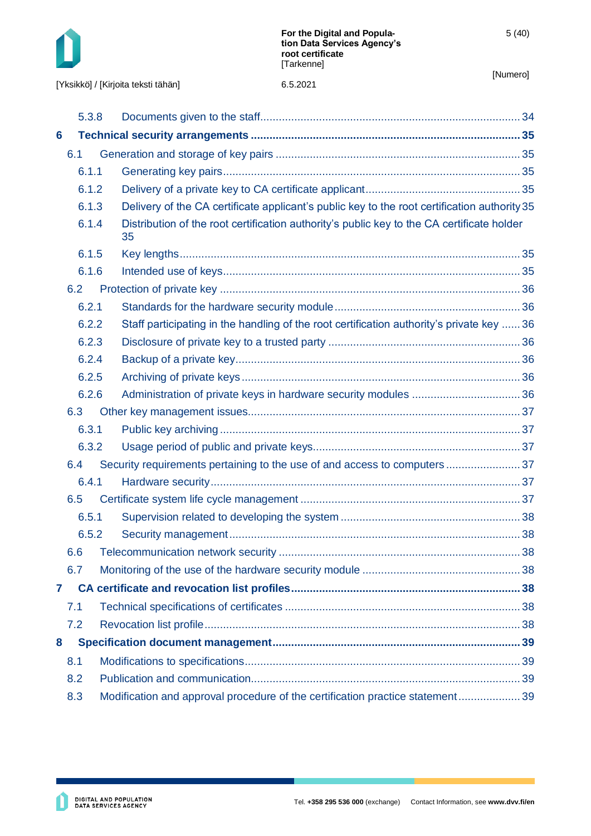

|   | 5.3.8 |  |                                                                                                  |  |
|---|-------|--|--------------------------------------------------------------------------------------------------|--|
| 6 |       |  |                                                                                                  |  |
|   | 6.1   |  |                                                                                                  |  |
|   | 6.1.1 |  |                                                                                                  |  |
|   | 6.1.2 |  |                                                                                                  |  |
|   | 6.1.3 |  | Delivery of the CA certificate applicant's public key to the root certification authority 35     |  |
|   | 6.1.4 |  | Distribution of the root certification authority's public key to the CA certificate holder<br>35 |  |
|   | 6.1.5 |  |                                                                                                  |  |
|   | 6.1.6 |  |                                                                                                  |  |
|   | 6.2   |  |                                                                                                  |  |
|   | 6.2.1 |  |                                                                                                  |  |
|   | 6.2.2 |  | Staff participating in the handling of the root certification authority's private key  36        |  |
|   | 6.2.3 |  |                                                                                                  |  |
|   | 6.2.4 |  |                                                                                                  |  |
|   | 6.2.5 |  |                                                                                                  |  |
|   | 6.2.6 |  |                                                                                                  |  |
|   | 6.3   |  |                                                                                                  |  |
|   | 6.3.1 |  |                                                                                                  |  |
|   | 6.3.2 |  |                                                                                                  |  |
|   | 6.4   |  |                                                                                                  |  |
|   | 6.4.1 |  |                                                                                                  |  |
|   | 6.5   |  |                                                                                                  |  |
|   | 6.5.1 |  |                                                                                                  |  |
|   | 6.5.2 |  |                                                                                                  |  |
|   | 6.6   |  |                                                                                                  |  |
|   | 6.7   |  |                                                                                                  |  |
| 7 |       |  |                                                                                                  |  |
|   | 7.1   |  |                                                                                                  |  |
|   | 7.2   |  |                                                                                                  |  |
| 8 |       |  |                                                                                                  |  |
|   | 8.1   |  |                                                                                                  |  |
|   | 8.2   |  |                                                                                                  |  |
|   | 8.3   |  | Modification and approval procedure of the certification practice statement 39                   |  |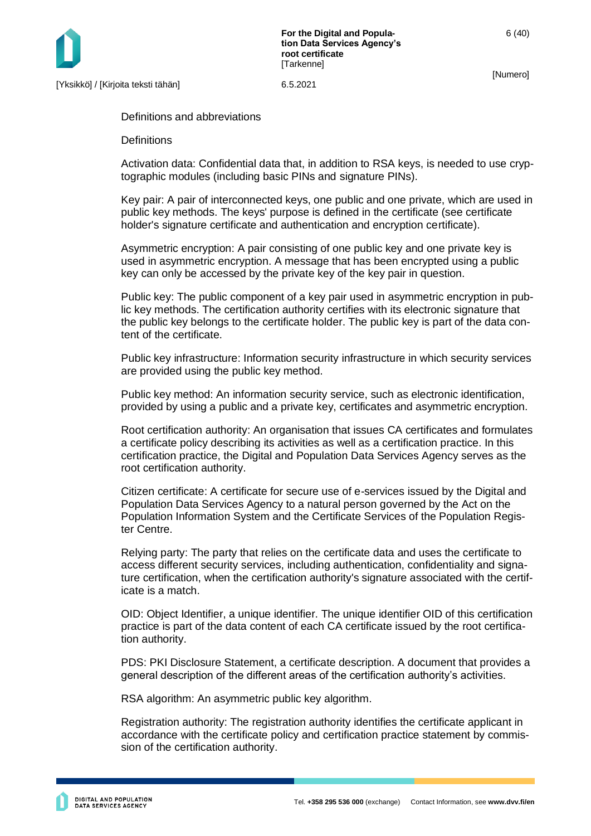

**For the Digital and Population Data Services Agency's root certificate [Tarkenne]** 

[Numero]

Definitions and abbreviations

**Definitions** 

Activation data: Confidential data that, in addition to RSA keys, is needed to use cryptographic modules (including basic PINs and signature PINs).

Key pair: A pair of interconnected keys, one public and one private, which are used in public key methods. The keys' purpose is defined in the certificate (see certificate holder's signature certificate and authentication and encryption certificate).

Asymmetric encryption: A pair consisting of one public key and one private key is used in asymmetric encryption. A message that has been encrypted using a public key can only be accessed by the private key of the key pair in question.

Public key: The public component of a key pair used in asymmetric encryption in public key methods. The certification authority certifies with its electronic signature that the public key belongs to the certificate holder. The public key is part of the data content of the certificate.

Public key infrastructure: Information security infrastructure in which security services are provided using the public key method.

Public key method: An information security service, such as electronic identification, provided by using a public and a private key, certificates and asymmetric encryption.

Root certification authority: An organisation that issues CA certificates and formulates a certificate policy describing its activities as well as a certification practice. In this certification practice, the Digital and Population Data Services Agency serves as the root certification authority.

Citizen certificate: A certificate for secure use of e-services issued by the Digital and Population Data Services Agency to a natural person governed by the Act on the Population Information System and the Certificate Services of the Population Register Centre.

Relying party: The party that relies on the certificate data and uses the certificate to access different security services, including authentication, confidentiality and signature certification, when the certification authority's signature associated with the certificate is a match.

OID: Object Identifier, a unique identifier. The unique identifier OID of this certification practice is part of the data content of each CA certificate issued by the root certification authority.

PDS: PKI Disclosure Statement, a certificate description. A document that provides a general description of the different areas of the certification authority's activities.

RSA algorithm: An asymmetric public key algorithm.

Registration authority: The registration authority identifies the certificate applicant in accordance with the certificate policy and certification practice statement by commission of the certification authority.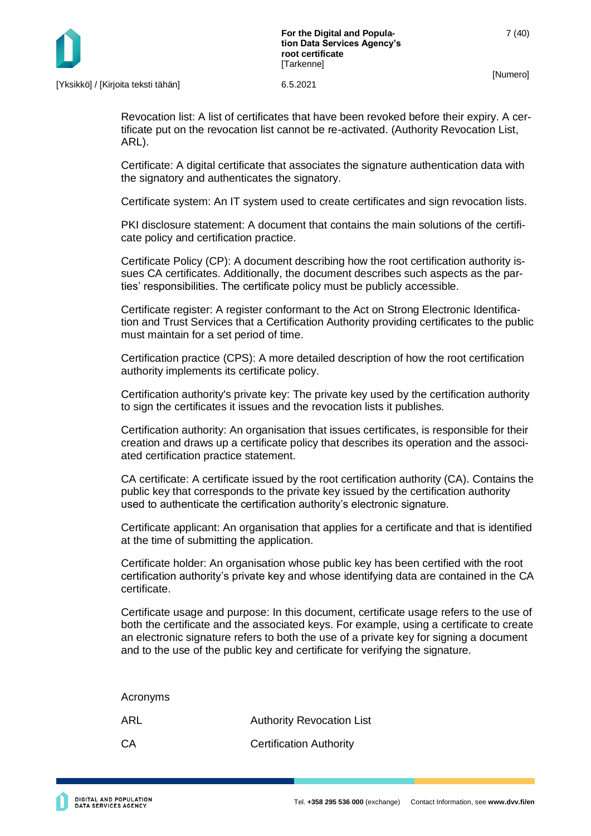

Revocation list: A list of certificates that have been revoked before their expiry. A certificate put on the revocation list cannot be re-activated. (Authority Revocation List, ARL).

Certificate: A digital certificate that associates the signature authentication data with the signatory and authenticates the signatory.

Certificate system: An IT system used to create certificates and sign revocation lists.

PKI disclosure statement: A document that contains the main solutions of the certificate policy and certification practice.

Certificate Policy (CP): A document describing how the root certification authority issues CA certificates. Additionally, the document describes such aspects as the parties' responsibilities. The certificate policy must be publicly accessible.

Certificate register: A register conformant to the Act on Strong Electronic Identification and Trust Services that a Certification Authority providing certificates to the public must maintain for a set period of time.

Certification practice (CPS): A more detailed description of how the root certification authority implements its certificate policy.

Certification authority's private key: The private key used by the certification authority to sign the certificates it issues and the revocation lists it publishes.

Certification authority: An organisation that issues certificates, is responsible for their creation and draws up a certificate policy that describes its operation and the associated certification practice statement.

CA certificate: A certificate issued by the root certification authority (CA). Contains the public key that corresponds to the private key issued by the certification authority used to authenticate the certification authority's electronic signature.

Certificate applicant: An organisation that applies for a certificate and that is identified at the time of submitting the application.

Certificate holder: An organisation whose public key has been certified with the root certification authority's private key and whose identifying data are contained in the CA certificate.

Certificate usage and purpose: In this document, certificate usage refers to the use of both the certificate and the associated keys. For example, using a certificate to create an electronic signature refers to both the use of a private key for signing a document and to the use of the public key and certificate for verifying the signature.

Acronyms ARL Authority Revocation List CA Certification Authority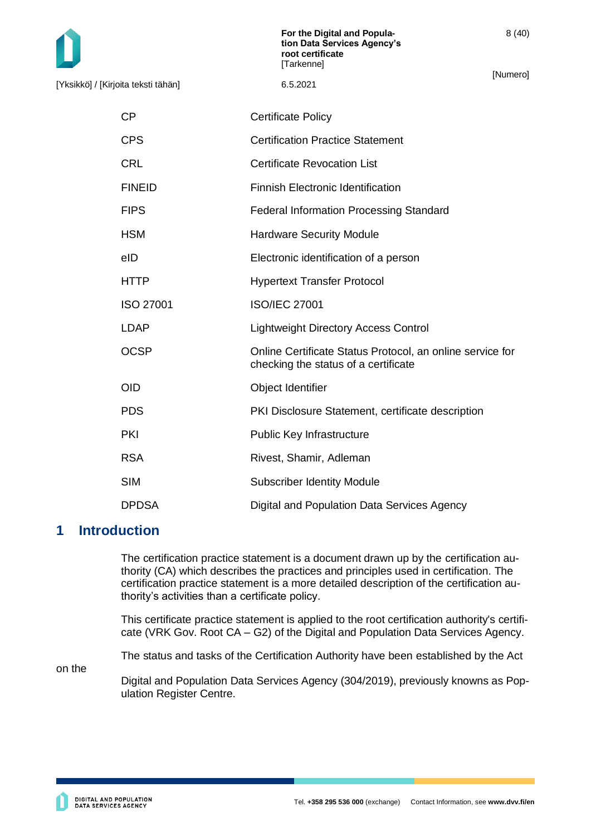[Yksikkö] / [Kirjoita teksti tähän] 6.5.2021

[Numero]

8 (40)

| СP            | <b>Certificate Policy</b>                                                                         |
|---------------|---------------------------------------------------------------------------------------------------|
| <b>CPS</b>    | <b>Certification Practice Statement</b>                                                           |
| CRL           | <b>Certificate Revocation List</b>                                                                |
| <b>FINEID</b> | <b>Finnish Electronic Identification</b>                                                          |
| <b>FIPS</b>   | <b>Federal Information Processing Standard</b>                                                    |
| HSM           | <b>Hardware Security Module</b>                                                                   |
| eID           | Electronic identification of a person                                                             |
| HTTP          | <b>Hypertext Transfer Protocol</b>                                                                |
| ISO 27001     | <b>ISO/IEC 27001</b>                                                                              |
| LDAP          | <b>Lightweight Directory Access Control</b>                                                       |
| OCSP          | Online Certificate Status Protocol, an online service for<br>checking the status of a certificate |
| OID           | Object Identifier                                                                                 |
| <b>PDS</b>    | PKI Disclosure Statement, certificate description                                                 |
| PKI           | <b>Public Key Infrastructure</b>                                                                  |
| <b>RSA</b>    | Rivest, Shamir, Adleman                                                                           |
| <b>SIM</b>    | <b>Subscriber Identity Module</b>                                                                 |
| <b>DPDSA</b>  | Digital and Population Data Services Agency                                                       |
|               |                                                                                                   |

# <span id="page-8-0"></span>**1 Introduction**

The certification practice statement is a document drawn up by the certification authority (CA) which describes the practices and principles used in certification. The certification practice statement is a more detailed description of the certification authority's activities than a certificate policy.

This certificate practice statement is applied to the root certification authority's certificate (VRK Gov. Root CA – G2) of the Digital and Population Data Services Agency.

The status and tasks of the Certification Authority have been established by the Act

on the

Digital and Population Data Services Agency (304/2019), previously knowns as Population Register Centre.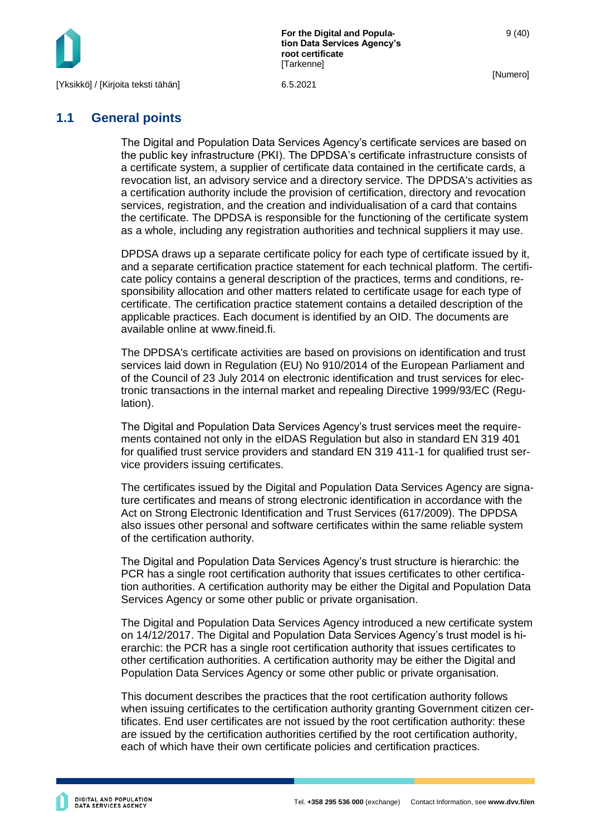

**For the Digital and Population Data Services Agency's root certificate [Tarkenne]** 

[Numero]

9 (40)

## <span id="page-9-0"></span>**1.1 General points**

The Digital and Population Data Services Agency's certificate services are based on the public key infrastructure (PKI). The DPDSA's certificate infrastructure consists of a certificate system, a supplier of certificate data contained in the certificate cards, a revocation list, an advisory service and a directory service. The DPDSA's activities as a certification authority include the provision of certification, directory and revocation services, registration, and the creation and individualisation of a card that contains the certificate. The DPDSA is responsible for the functioning of the certificate system as a whole, including any registration authorities and technical suppliers it may use.

DPDSA draws up a separate certificate policy for each type of certificate issued by it, and a separate certification practice statement for each technical platform. The certificate policy contains a general description of the practices, terms and conditions, responsibility allocation and other matters related to certificate usage for each type of certificate. The certification practice statement contains a detailed description of the applicable practices. Each document is identified by an OID. The documents are available online at www.fineid.fi.

The DPDSA's certificate activities are based on provisions on identification and trust services laid down in Regulation (EU) No 910/2014 of the European Parliament and of the Council of 23 July 2014 on electronic identification and trust services for electronic transactions in the internal market and repealing Directive 1999/93/EC (Regulation).

The Digital and Population Data Services Agency's trust services meet the requirements contained not only in the eIDAS Regulation but also in standard EN 319 401 for qualified trust service providers and standard EN 319 411-1 for qualified trust service providers issuing certificates.

The certificates issued by the Digital and Population Data Services Agency are signature certificates and means of strong electronic identification in accordance with the Act on Strong Electronic Identification and Trust Services (617/2009). The DPDSA also issues other personal and software certificates within the same reliable system of the certification authority.

The Digital and Population Data Services Agency's trust structure is hierarchic: the PCR has a single root certification authority that issues certificates to other certification authorities. A certification authority may be either the Digital and Population Data Services Agency or some other public or private organisation.

The Digital and Population Data Services Agency introduced a new certificate system on 14/12/2017. The Digital and Population Data Services Agency's trust model is hierarchic: the PCR has a single root certification authority that issues certificates to other certification authorities. A certification authority may be either the Digital and Population Data Services Agency or some other public or private organisation.

This document describes the practices that the root certification authority follows when issuing certificates to the certification authority granting Government citizen certificates. End user certificates are not issued by the root certification authority: these are issued by the certification authorities certified by the root certification authority, each of which have their own certificate policies and certification practices.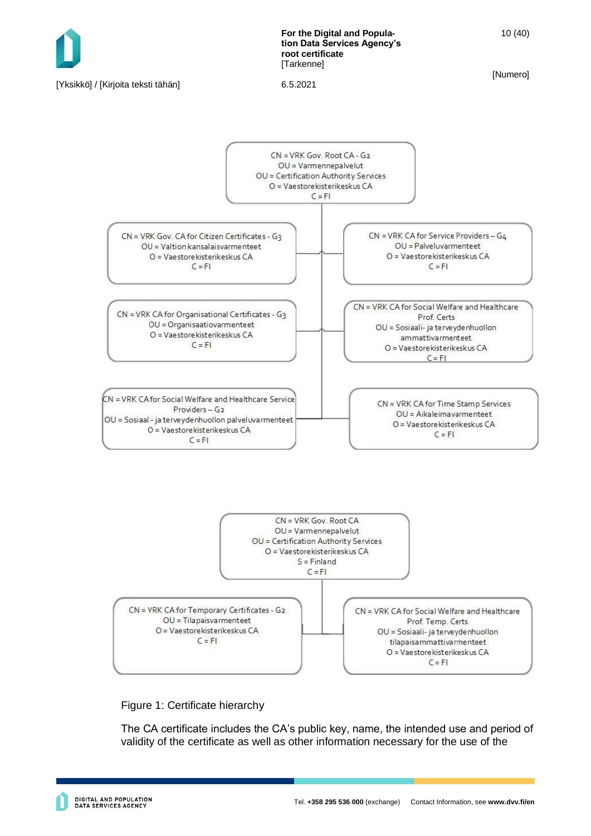

#### Figure 1: Certificate hierarchy

CN = VRK CA for Temporary Certificates - G2

OU = Tilapaisvarmenteet

O = Vaestorekisterikeskus CA

 $C = FI$ 

The CA certificate includes the CA's public key, name, the intended use and period of validity of the certificate as well as other information necessary for the use of the

CN = VRK CA for Social Welfare and Healthcare

Prof. Temp. Certs

OU = Sosiaali- ja terveydenhuollon

tilapaisammattivarmenteet O = Vaestorekisterikeskus CA  $C = FI$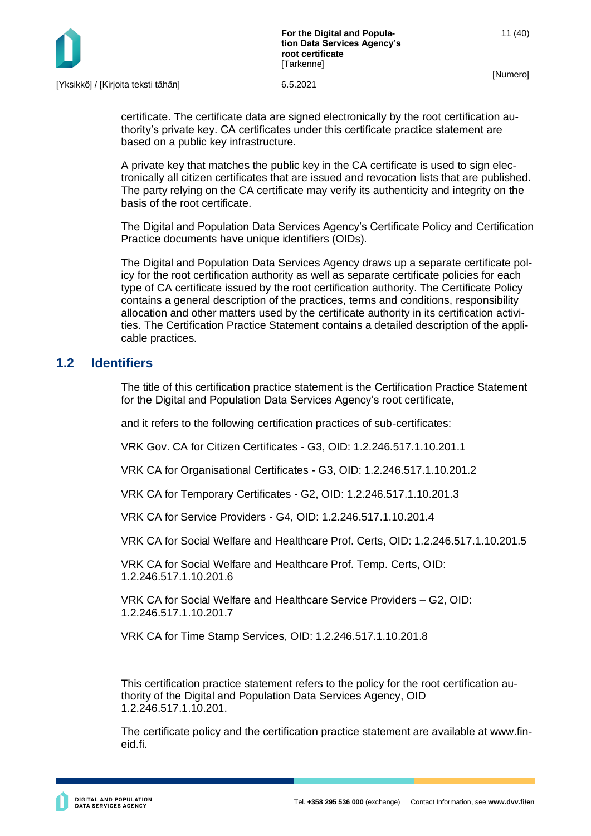

certificate. The certificate data are signed electronically by the root certification authority's private key. CA certificates under this certificate practice statement are based on a public key infrastructure.

A private key that matches the public key in the CA certificate is used to sign electronically all citizen certificates that are issued and revocation lists that are published. The party relying on the CA certificate may verify its authenticity and integrity on the basis of the root certificate.

The Digital and Population Data Services Agency's Certificate Policy and Certification Practice documents have unique identifiers (OIDs).

The Digital and Population Data Services Agency draws up a separate certificate policy for the root certification authority as well as separate certificate policies for each type of CA certificate issued by the root certification authority. The Certificate Policy contains a general description of the practices, terms and conditions, responsibility allocation and other matters used by the certificate authority in its certification activities. The Certification Practice Statement contains a detailed description of the applicable practices.

## <span id="page-11-0"></span>**1.2 Identifiers**

The title of this certification practice statement is the Certification Practice Statement for the Digital and Population Data Services Agency's root certificate,

and it refers to the following certification practices of sub-certificates:

VRK Gov. CA for Citizen Certificates - G3, OID: 1.2.246.517.1.10.201.1

VRK CA for Organisational Certificates - G3, OID: 1.2.246.517.1.10.201.2

VRK CA for Temporary Certificates - G2, OID: 1.2.246.517.1.10.201.3

VRK CA for Service Providers - G4, OID: 1.2.246.517.1.10.201.4

VRK CA for Social Welfare and Healthcare Prof. Certs, OID: 1.2.246.517.1.10.201.5

VRK CA for Social Welfare and Healthcare Prof. Temp. Certs, OID: 1.2.246.517.1.10.201.6

VRK CA for Social Welfare and Healthcare Service Providers – G2, OID: 1.2.246.517.1.10.201.7

VRK CA for Time Stamp Services, OID: 1.2.246.517.1.10.201.8

This certification practice statement refers to the policy for the root certification authority of the Digital and Population Data Services Agency, OID 1.2.246.517.1.10.201.

The certificate policy and the certification practice statement are available at www.fineid.fi.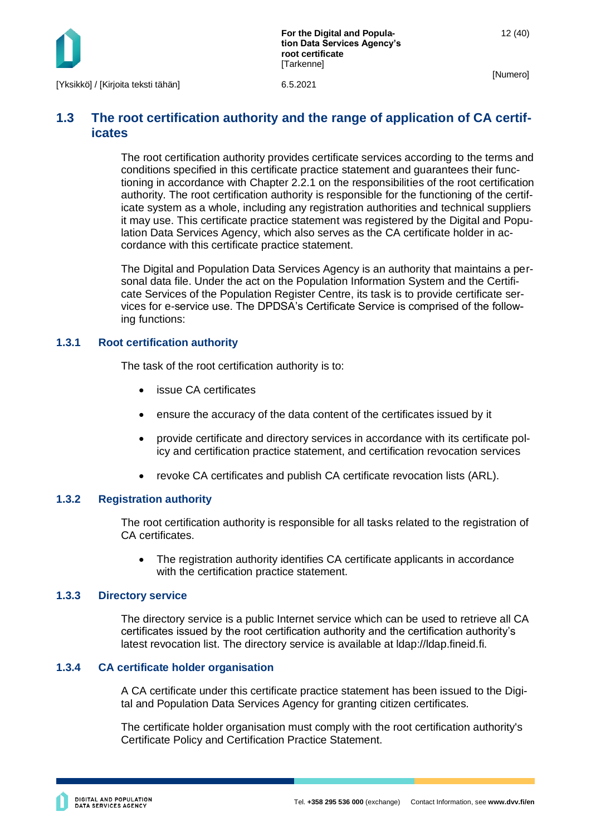

## <span id="page-12-0"></span>**1.3 The root certification authority and the range of application of CA certificates**

The root certification authority provides certificate services according to the terms and conditions specified in this certificate practice statement and guarantees their functioning in accordance with Chapter 2.2.1 on the responsibilities of the root certification authority. The root certification authority is responsible for the functioning of the certificate system as a whole, including any registration authorities and technical suppliers it may use. This certificate practice statement was registered by the Digital and Population Data Services Agency, which also serves as the CA certificate holder in accordance with this certificate practice statement.

The Digital and Population Data Services Agency is an authority that maintains a personal data file. Under the act on the Population Information System and the Certificate Services of the Population Register Centre, its task is to provide certificate services for e-service use. The DPDSA's Certificate Service is comprised of the following functions:

## <span id="page-12-1"></span>**1.3.1 Root certification authority**

The task of the root certification authority is to:

- issue CA certificates
- ensure the accuracy of the data content of the certificates issued by it
- provide certificate and directory services in accordance with its certificate policy and certification practice statement, and certification revocation services
- revoke CA certificates and publish CA certificate revocation lists (ARL).

## <span id="page-12-2"></span>**1.3.2 Registration authority**

The root certification authority is responsible for all tasks related to the registration of CA certificates.

• The registration authority identifies CA certificate applicants in accordance with the certification practice statement.

#### <span id="page-12-3"></span>**1.3.3 Directory service**

The directory service is a public Internet service which can be used to retrieve all CA certificates issued by the root certification authority and the certification authority's latest revocation list. The directory service is available at ldap://ldap.fineid.fi.

#### <span id="page-12-4"></span>**1.3.4 CA certificate holder organisation**

A CA certificate under this certificate practice statement has been issued to the Digital and Population Data Services Agency for granting citizen certificates.

The certificate holder organisation must comply with the root certification authority's Certificate Policy and Certification Practice Statement.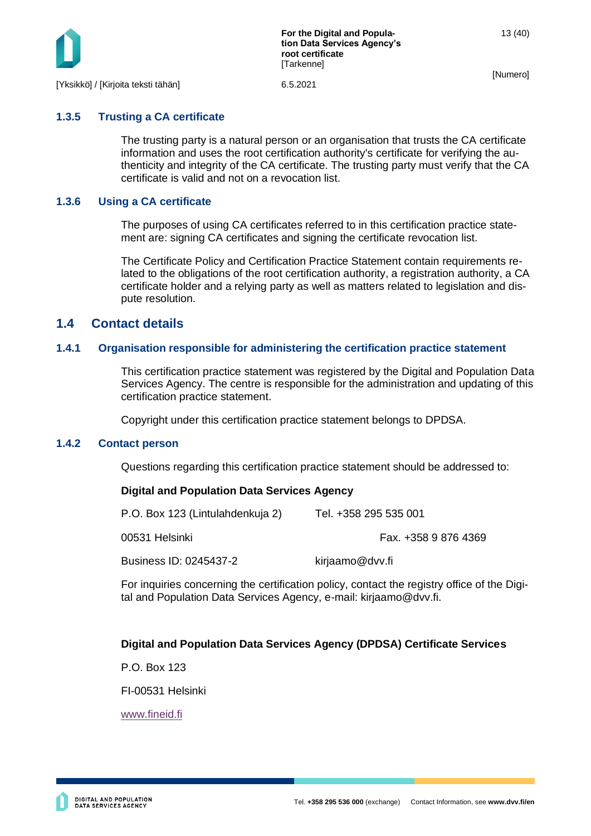

# <span id="page-13-0"></span>**1.3.5 Trusting a CA certificate**

The trusting party is a natural person or an organisation that trusts the CA certificate information and uses the root certification authority's certificate for verifying the authenticity and integrity of the CA certificate. The trusting party must verify that the CA certificate is valid and not on a revocation list.

## <span id="page-13-1"></span>**1.3.6 Using a CA certificate**

The purposes of using CA certificates referred to in this certification practice statement are: signing CA certificates and signing the certificate revocation list.

The Certificate Policy and Certification Practice Statement contain requirements related to the obligations of the root certification authority, a registration authority, a CA certificate holder and a relying party as well as matters related to legislation and dispute resolution.

## <span id="page-13-2"></span>**1.4 Contact details**

## <span id="page-13-3"></span>**1.4.1 Organisation responsible for administering the certification practice statement**

This certification practice statement was registered by the Digital and Population Data Services Agency. The centre is responsible for the administration and updating of this certification practice statement.

Copyright under this certification practice statement belongs to DPDSA.

## <span id="page-13-4"></span>**1.4.2 Contact person**

Questions regarding this certification practice statement should be addressed to:

## **Digital and Population Data Services Agency**

| P.O. Box 123 (Lintulahdenkuja 2) | Tel. +358 295 535 001 |
|----------------------------------|-----------------------|
| 00531 Helsinki                   | Fax. +358 9 876 4369  |
| Business ID: 0245437-2           | kirjaamo@dvv.fi       |

For inquiries concerning the certification policy, contact the registry office of the Digital and Population Data Services Agency, e-mail: kirjaamo@dvv.fi.

## **Digital and Population Data Services Agency (DPDSA) Certificate Services**

P.O. Box 123

FI-00531 Helsinki

[www.fineid.fi](http://www.fineid.fi/)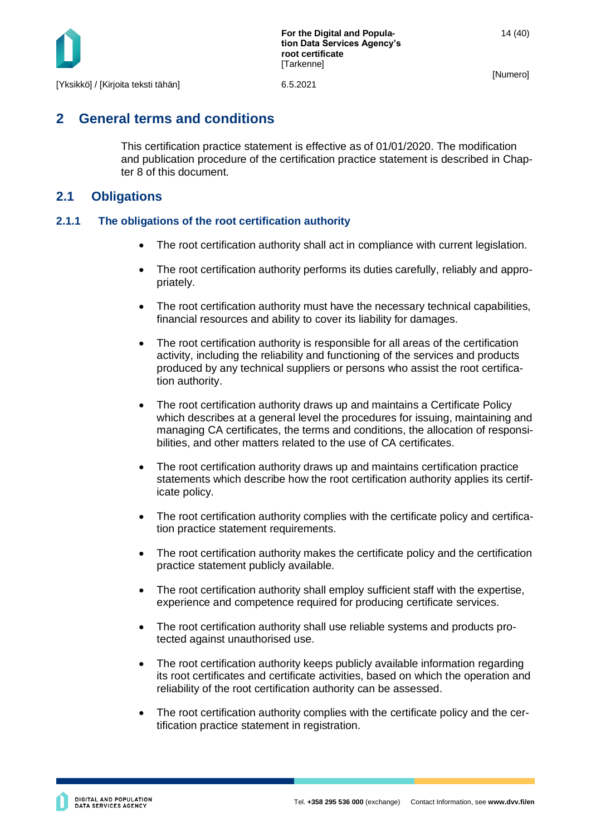

# <span id="page-14-0"></span>**2 General terms and conditions**

This certification practice statement is effective as of 01/01/2020. The modification and publication procedure of the certification practice statement is described in Chapter 8 of this document.

## <span id="page-14-1"></span>**2.1 Obligations**

## <span id="page-14-2"></span>**2.1.1 The obligations of the root certification authority**

- The root certification authority shall act in compliance with current legislation.
- The root certification authority performs its duties carefully, reliably and appropriately.
- The root certification authority must have the necessary technical capabilities, financial resources and ability to cover its liability for damages.
- The root certification authority is responsible for all areas of the certification activity, including the reliability and functioning of the services and products produced by any technical suppliers or persons who assist the root certification authority.
- The root certification authority draws up and maintains a Certificate Policy which describes at a general level the procedures for issuing, maintaining and managing CA certificates, the terms and conditions, the allocation of responsibilities, and other matters related to the use of CA certificates.
- The root certification authority draws up and maintains certification practice statements which describe how the root certification authority applies its certificate policy.
- The root certification authority complies with the certificate policy and certification practice statement requirements.
- The root certification authority makes the certificate policy and the certification practice statement publicly available.
- The root certification authority shall employ sufficient staff with the expertise, experience and competence required for producing certificate services.
- The root certification authority shall use reliable systems and products protected against unauthorised use.
- The root certification authority keeps publicly available information regarding its root certificates and certificate activities, based on which the operation and reliability of the root certification authority can be assessed.
- The root certification authority complies with the certificate policy and the certification practice statement in registration.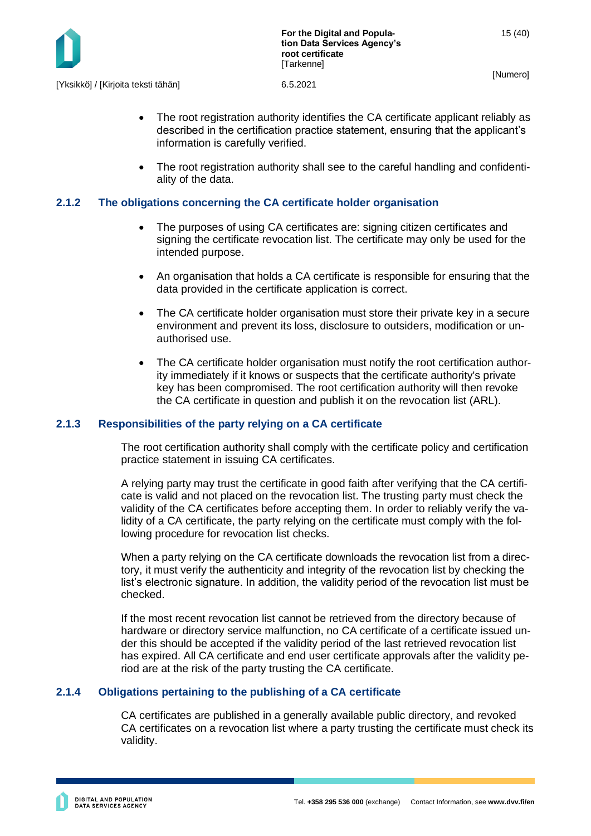

- The root registration authority identifies the CA certificate applicant reliably as described in the certification practice statement, ensuring that the applicant's information is carefully verified.
- The root registration authority shall see to the careful handling and confidentiality of the data.

## <span id="page-15-0"></span>**2.1.2 The obligations concerning the CA certificate holder organisation**

- The purposes of using CA certificates are: signing citizen certificates and signing the certificate revocation list. The certificate may only be used for the intended purpose.
- An organisation that holds a CA certificate is responsible for ensuring that the data provided in the certificate application is correct.
- The CA certificate holder organisation must store their private key in a secure environment and prevent its loss, disclosure to outsiders, modification or unauthorised use.
- The CA certificate holder organisation must notify the root certification authority immediately if it knows or suspects that the certificate authority's private key has been compromised. The root certification authority will then revoke the CA certificate in question and publish it on the revocation list (ARL).

#### <span id="page-15-1"></span>**2.1.3 Responsibilities of the party relying on a CA certificate**

The root certification authority shall comply with the certificate policy and certification practice statement in issuing CA certificates.

A relying party may trust the certificate in good faith after verifying that the CA certificate is valid and not placed on the revocation list. The trusting party must check the validity of the CA certificates before accepting them. In order to reliably verify the validity of a CA certificate, the party relying on the certificate must comply with the following procedure for revocation list checks.

When a party relying on the CA certificate downloads the revocation list from a directory, it must verify the authenticity and integrity of the revocation list by checking the list's electronic signature. In addition, the validity period of the revocation list must be checked.

If the most recent revocation list cannot be retrieved from the directory because of hardware or directory service malfunction, no CA certificate of a certificate issued under this should be accepted if the validity period of the last retrieved revocation list has expired. All CA certificate and end user certificate approvals after the validity period are at the risk of the party trusting the CA certificate.

#### <span id="page-15-2"></span>**2.1.4 Obligations pertaining to the publishing of a CA certificate**

CA certificates are published in a generally available public directory, and revoked CA certificates on a revocation list where a party trusting the certificate must check its validity.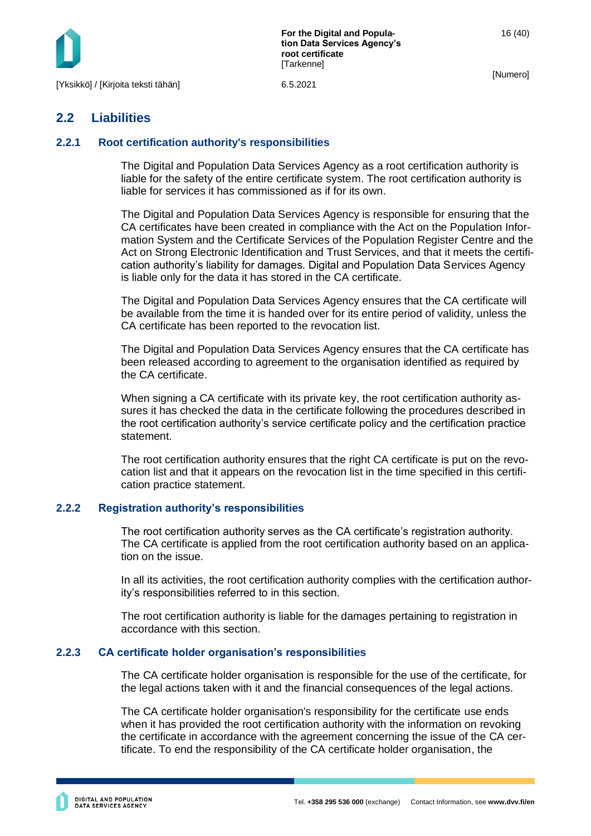

**For the Digital and Population Data Services Agency's root certificate [Tarkenne]** 

[Numero]

## <span id="page-16-0"></span>**2.2 Liabilities**

## <span id="page-16-1"></span>**2.2.1 Root certification authority's responsibilities**

The Digital and Population Data Services Agency as a root certification authority is liable for the safety of the entire certificate system. The root certification authority is liable for services it has commissioned as if for its own.

The Digital and Population Data Services Agency is responsible for ensuring that the CA certificates have been created in compliance with the Act on the Population Information System and the Certificate Services of the Population Register Centre and the Act on Strong Electronic Identification and Trust Services, and that it meets the certification authority's liability for damages. Digital and Population Data Services Agency is liable only for the data it has stored in the CA certificate.

The Digital and Population Data Services Agency ensures that the CA certificate will be available from the time it is handed over for its entire period of validity, unless the CA certificate has been reported to the revocation list.

The Digital and Population Data Services Agency ensures that the CA certificate has been released according to agreement to the organisation identified as required by the CA certificate.

When signing a CA certificate with its private key, the root certification authority assures it has checked the data in the certificate following the procedures described in the root certification authority's service certificate policy and the certification practice statement.

The root certification authority ensures that the right CA certificate is put on the revocation list and that it appears on the revocation list in the time specified in this certification practice statement.

#### <span id="page-16-2"></span>**2.2.2 Registration authority's responsibilities**

The root certification authority serves as the CA certificate's registration authority. The CA certificate is applied from the root certification authority based on an application on the issue.

In all its activities, the root certification authority complies with the certification authority's responsibilities referred to in this section.

The root certification authority is liable for the damages pertaining to registration in accordance with this section.

#### <span id="page-16-3"></span>**2.2.3 CA certificate holder organisation's responsibilities**

The CA certificate holder organisation is responsible for the use of the certificate, for the legal actions taken with it and the financial consequences of the legal actions.

The CA certificate holder organisation's responsibility for the certificate use ends when it has provided the root certification authority with the information on revoking the certificate in accordance with the agreement concerning the issue of the CA certificate. To end the responsibility of the CA certificate holder organisation, the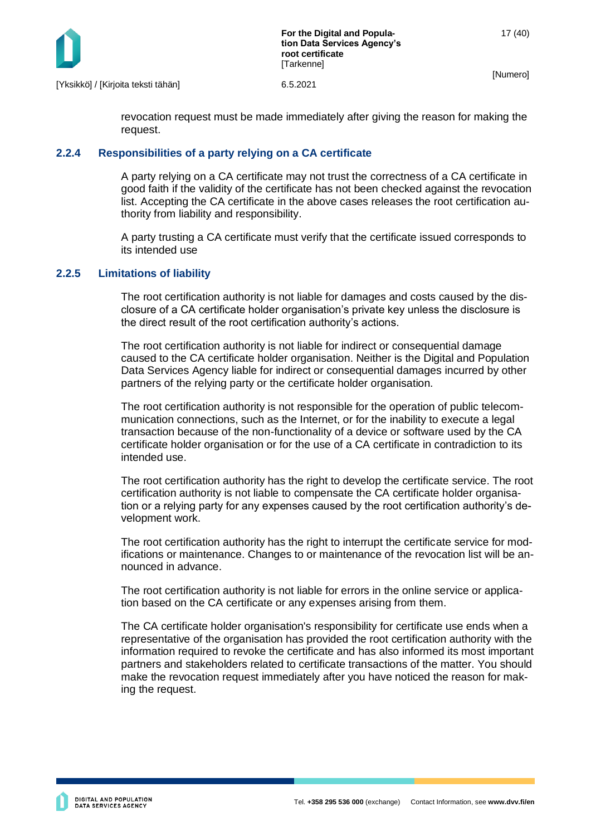

revocation request must be made immediately after giving the reason for making the request.

#### <span id="page-17-0"></span>**2.2.4 Responsibilities of a party relying on a CA certificate**

A party relying on a CA certificate may not trust the correctness of a CA certificate in good faith if the validity of the certificate has not been checked against the revocation list. Accepting the CA certificate in the above cases releases the root certification authority from liability and responsibility.

A party trusting a CA certificate must verify that the certificate issued corresponds to its intended use

#### <span id="page-17-1"></span>**2.2.5 Limitations of liability**

The root certification authority is not liable for damages and costs caused by the disclosure of a CA certificate holder organisation's private key unless the disclosure is the direct result of the root certification authority's actions.

The root certification authority is not liable for indirect or consequential damage caused to the CA certificate holder organisation. Neither is the Digital and Population Data Services Agency liable for indirect or consequential damages incurred by other partners of the relying party or the certificate holder organisation.

The root certification authority is not responsible for the operation of public telecommunication connections, such as the Internet, or for the inability to execute a legal transaction because of the non-functionality of a device or software used by the CA certificate holder organisation or for the use of a CA certificate in contradiction to its intended use.

The root certification authority has the right to develop the certificate service. The root certification authority is not liable to compensate the CA certificate holder organisation or a relying party for any expenses caused by the root certification authority's development work.

The root certification authority has the right to interrupt the certificate service for modifications or maintenance. Changes to or maintenance of the revocation list will be announced in advance.

The root certification authority is not liable for errors in the online service or application based on the CA certificate or any expenses arising from them.

The CA certificate holder organisation's responsibility for certificate use ends when a representative of the organisation has provided the root certification authority with the information required to revoke the certificate and has also informed its most important partners and stakeholders related to certificate transactions of the matter. You should make the revocation request immediately after you have noticed the reason for making the request.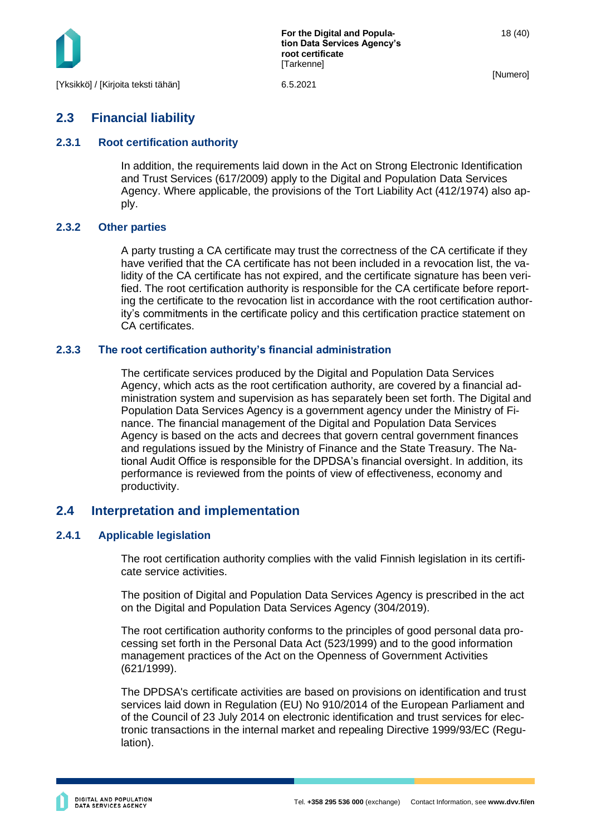

**For the Digital and Population Data Services Agency's root certificate [Tarkenne]** 

[Numero]

18 (40)

## <span id="page-18-0"></span>**2.3 Financial liability**

#### <span id="page-18-1"></span>**2.3.1 Root certification authority**

In addition, the requirements laid down in the Act on Strong Electronic Identification and Trust Services (617/2009) apply to the Digital and Population Data Services Agency. Where applicable, the provisions of the Tort Liability Act (412/1974) also apply.

#### <span id="page-18-2"></span>**2.3.2 Other parties**

A party trusting a CA certificate may trust the correctness of the CA certificate if they have verified that the CA certificate has not been included in a revocation list, the validity of the CA certificate has not expired, and the certificate signature has been verified. The root certification authority is responsible for the CA certificate before reporting the certificate to the revocation list in accordance with the root certification authority's commitments in the certificate policy and this certification practice statement on CA certificates.

#### <span id="page-18-3"></span>**2.3.3 The root certification authority's financial administration**

The certificate services produced by the Digital and Population Data Services Agency, which acts as the root certification authority, are covered by a financial administration system and supervision as has separately been set forth. The Digital and Population Data Services Agency is a government agency under the Ministry of Finance. The financial management of the Digital and Population Data Services Agency is based on the acts and decrees that govern central government finances and regulations issued by the Ministry of Finance and the State Treasury. The National Audit Office is responsible for the DPDSA's financial oversight. In addition, its performance is reviewed from the points of view of effectiveness, economy and productivity.

## <span id="page-18-4"></span>**2.4 Interpretation and implementation**

#### <span id="page-18-5"></span>**2.4.1 Applicable legislation**

The root certification authority complies with the valid Finnish legislation in its certificate service activities.

The position of Digital and Population Data Services Agency is prescribed in the act on the Digital and Population Data Services Agency (304/2019).

The root certification authority conforms to the principles of good personal data processing set forth in the Personal Data Act (523/1999) and to the good information management practices of the Act on the Openness of Government Activities (621/1999).

The DPDSA's certificate activities are based on provisions on identification and trust services laid down in Regulation (EU) No 910/2014 of the European Parliament and of the Council of 23 July 2014 on electronic identification and trust services for electronic transactions in the internal market and repealing Directive 1999/93/EC (Regulation).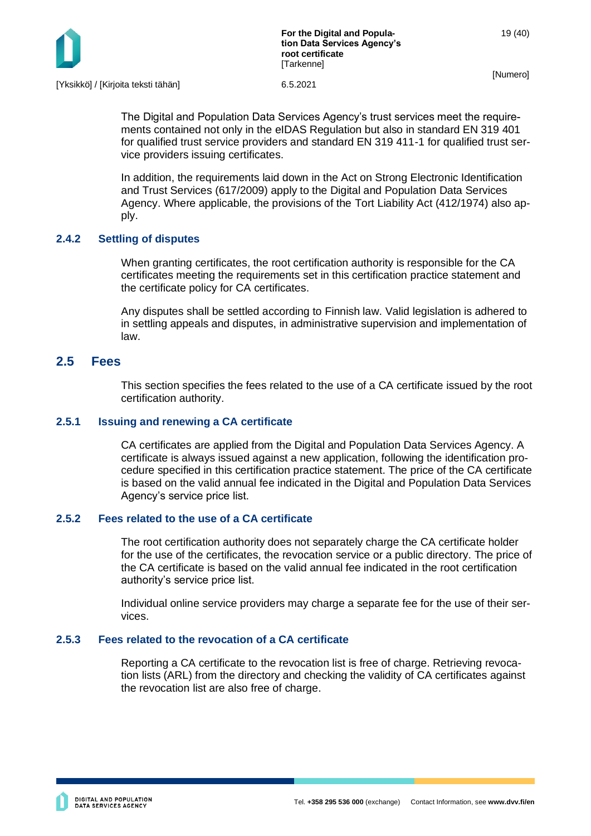

The Digital and Population Data Services Agency's trust services meet the requirements contained not only in the eIDAS Regulation but also in standard EN 319 401 for qualified trust service providers and standard EN 319 411-1 for qualified trust service providers issuing certificates.

In addition, the requirements laid down in the Act on Strong Electronic Identification and Trust Services (617/2009) apply to the Digital and Population Data Services Agency. Where applicable, the provisions of the Tort Liability Act (412/1974) also apply.

## <span id="page-19-0"></span>**2.4.2 Settling of disputes**

When granting certificates, the root certification authority is responsible for the CA certificates meeting the requirements set in this certification practice statement and the certificate policy for CA certificates.

Any disputes shall be settled according to Finnish law. Valid legislation is adhered to in settling appeals and disputes, in administrative supervision and implementation of law.

## <span id="page-19-1"></span>**2.5 Fees**

This section specifies the fees related to the use of a CA certificate issued by the root certification authority.

#### <span id="page-19-2"></span>**2.5.1 Issuing and renewing a CA certificate**

CA certificates are applied from the Digital and Population Data Services Agency. A certificate is always issued against a new application, following the identification procedure specified in this certification practice statement. The price of the CA certificate is based on the valid annual fee indicated in the Digital and Population Data Services Agency's service price list.

#### <span id="page-19-3"></span>**2.5.2 Fees related to the use of a CA certificate**

The root certification authority does not separately charge the CA certificate holder for the use of the certificates, the revocation service or a public directory. The price of the CA certificate is based on the valid annual fee indicated in the root certification authority's service price list.

Individual online service providers may charge a separate fee for the use of their services.

#### <span id="page-19-4"></span>**2.5.3 Fees related to the revocation of a CA certificate**

Reporting a CA certificate to the revocation list is free of charge. Retrieving revocation lists (ARL) from the directory and checking the validity of CA certificates against the revocation list are also free of charge.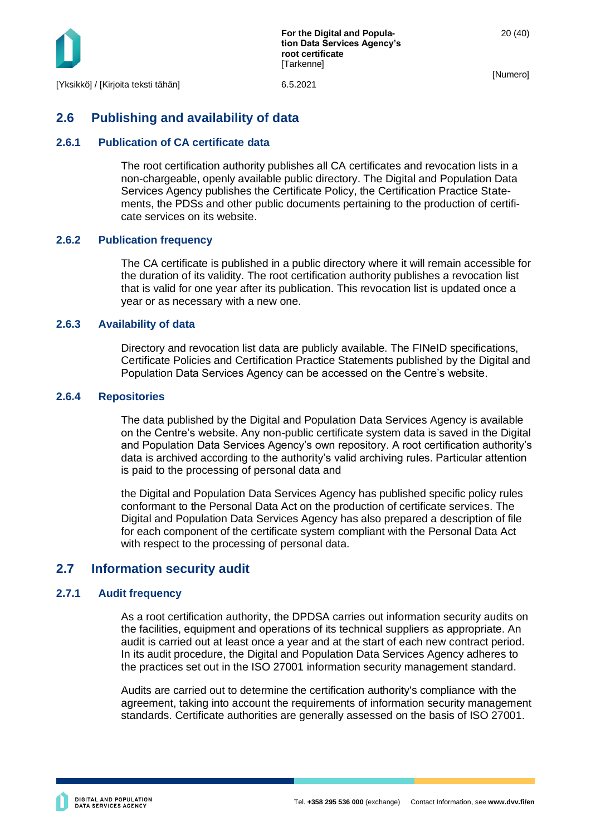

## <span id="page-20-0"></span>**2.6 Publishing and availability of data**

#### <span id="page-20-1"></span>**2.6.1 Publication of CA certificate data**

The root certification authority publishes all CA certificates and revocation lists in a non-chargeable, openly available public directory. The Digital and Population Data Services Agency publishes the Certificate Policy, the Certification Practice Statements, the PDSs and other public documents pertaining to the production of certificate services on its website.

#### <span id="page-20-2"></span>**2.6.2 Publication frequency**

The CA certificate is published in a public directory where it will remain accessible for the duration of its validity. The root certification authority publishes a revocation list that is valid for one year after its publication. This revocation list is updated once a year or as necessary with a new one.

#### <span id="page-20-3"></span>**2.6.3 Availability of data**

Directory and revocation list data are publicly available. The FINeID specifications, Certificate Policies and Certification Practice Statements published by the Digital and Population Data Services Agency can be accessed on the Centre's website.

#### <span id="page-20-4"></span>**2.6.4 Repositories**

The data published by the Digital and Population Data Services Agency is available on the Centre's website. Any non-public certificate system data is saved in the Digital and Population Data Services Agency's own repository. A root certification authority's data is archived according to the authority's valid archiving rules. Particular attention is paid to the processing of personal data and

the Digital and Population Data Services Agency has published specific policy rules conformant to the Personal Data Act on the production of certificate services. The Digital and Population Data Services Agency has also prepared a description of file for each component of the certificate system compliant with the Personal Data Act with respect to the processing of personal data.

## <span id="page-20-5"></span>**2.7 Information security audit**

#### <span id="page-20-6"></span>**2.7.1 Audit frequency**

As a root certification authority, the DPDSA carries out information security audits on the facilities, equipment and operations of its technical suppliers as appropriate. An audit is carried out at least once a year and at the start of each new contract period. In its audit procedure, the Digital and Population Data Services Agency adheres to the practices set out in the ISO 27001 information security management standard.

Audits are carried out to determine the certification authority's compliance with the agreement, taking into account the requirements of information security management standards. Certificate authorities are generally assessed on the basis of ISO 27001.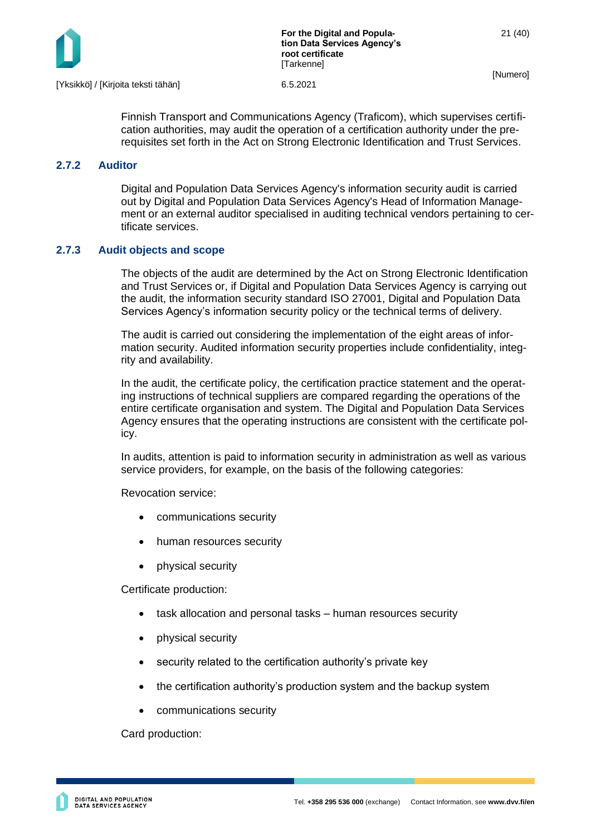

Finnish Transport and Communications Agency (Traficom), which supervises certification authorities, may audit the operation of a certification authority under the prerequisites set forth in the Act on Strong Electronic Identification and Trust Services.

#### <span id="page-21-0"></span>**2.7.2 Auditor**

Digital and Population Data Services Agency's information security audit is carried out by Digital and Population Data Services Agency's Head of Information Management or an external auditor specialised in auditing technical vendors pertaining to certificate services.

## <span id="page-21-1"></span>**2.7.3 Audit objects and scope**

The objects of the audit are determined by the Act on Strong Electronic Identification and Trust Services or, if Digital and Population Data Services Agency is carrying out the audit, the information security standard ISO 27001, Digital and Population Data Services Agency's information security policy or the technical terms of delivery.

The audit is carried out considering the implementation of the eight areas of information security. Audited information security properties include confidentiality, integrity and availability.

In the audit, the certificate policy, the certification practice statement and the operating instructions of technical suppliers are compared regarding the operations of the entire certificate organisation and system. The Digital and Population Data Services Agency ensures that the operating instructions are consistent with the certificate policy.

In audits, attention is paid to information security in administration as well as various service providers, for example, on the basis of the following categories:

Revocation service:

- communications security
- human resources security
- physical security

Certificate production:

- task allocation and personal tasks human resources security
- physical security
- security related to the certification authority's private key
- the certification authority's production system and the backup system
- communications security

Card production: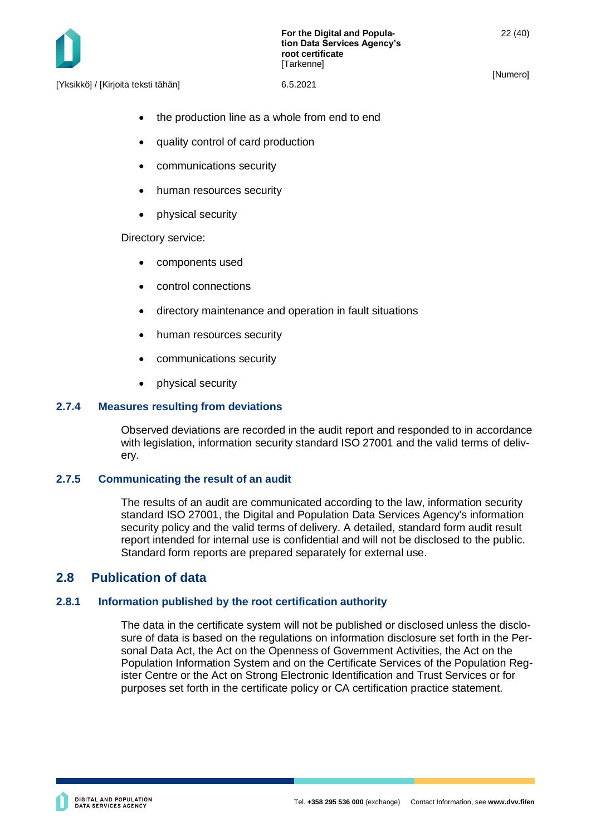

**For the Digital and Population Data Services Agency's root certificate [Tarkenne]** 

[Numero]

[Yksikkö] / [Kirjoita teksti tähän] 6.5.2021

the production line as a whole from end to end

- quality control of card production
- communications security
- human resources security
- physical security

Directory service:

- components used
- control connections
- directory maintenance and operation in fault situations
- human resources security
- communications security
- physical security

#### <span id="page-22-0"></span>**2.7.4 Measures resulting from deviations**

Observed deviations are recorded in the audit report and responded to in accordance with legislation, information security standard ISO 27001 and the valid terms of delivery.

#### <span id="page-22-1"></span>**2.7.5 Communicating the result of an audit**

The results of an audit are communicated according to the law, information security standard ISO 27001, the Digital and Population Data Services Agency's information security policy and the valid terms of delivery. A detailed, standard form audit result report intended for internal use is confidential and will not be disclosed to the public. Standard form reports are prepared separately for external use.

## <span id="page-22-2"></span>**2.8 Publication of data**

#### <span id="page-22-3"></span>**2.8.1 Information published by the root certification authority**

The data in the certificate system will not be published or disclosed unless the disclosure of data is based on the regulations on information disclosure set forth in the Personal Data Act, the Act on the Openness of Government Activities, the Act on the Population Information System and on the Certificate Services of the Population Register Centre or the Act on Strong Electronic Identification and Trust Services or for purposes set forth in the certificate policy or CA certification practice statement.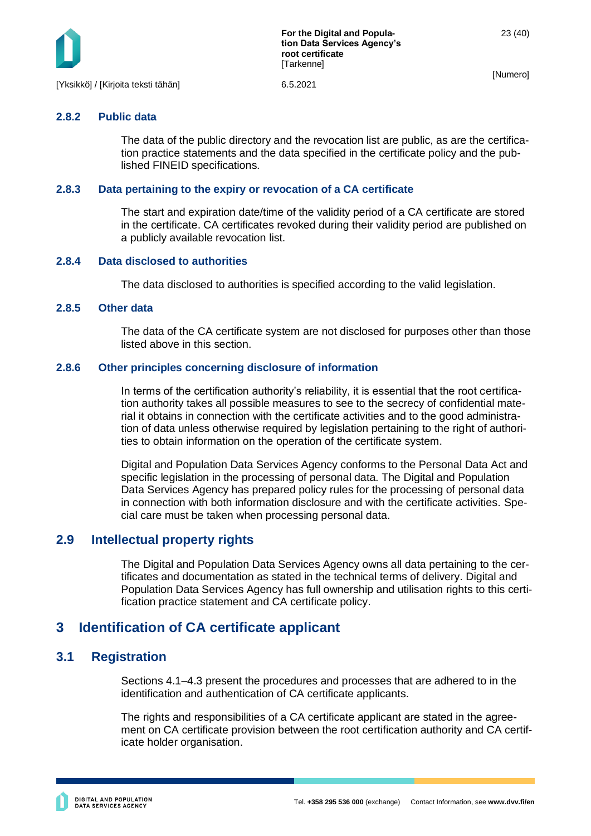

#### <span id="page-23-0"></span>**2.8.2 Public data**

The data of the public directory and the revocation list are public, as are the certification practice statements and the data specified in the certificate policy and the published FINEID specifications.

#### <span id="page-23-1"></span>**2.8.3 Data pertaining to the expiry or revocation of a CA certificate**

The start and expiration date/time of the validity period of a CA certificate are stored in the certificate. CA certificates revoked during their validity period are published on a publicly available revocation list.

#### <span id="page-23-2"></span>**2.8.4 Data disclosed to authorities**

The data disclosed to authorities is specified according to the valid legislation.

#### <span id="page-23-3"></span>**2.8.5 Other data**

The data of the CA certificate system are not disclosed for purposes other than those listed above in this section.

#### <span id="page-23-4"></span>**2.8.6 Other principles concerning disclosure of information**

In terms of the certification authority's reliability, it is essential that the root certification authority takes all possible measures to see to the secrecy of confidential material it obtains in connection with the certificate activities and to the good administration of data unless otherwise required by legislation pertaining to the right of authorities to obtain information on the operation of the certificate system.

Digital and Population Data Services Agency conforms to the Personal Data Act and specific legislation in the processing of personal data. The Digital and Population Data Services Agency has prepared policy rules for the processing of personal data in connection with both information disclosure and with the certificate activities. Special care must be taken when processing personal data.

## <span id="page-23-5"></span>**2.9 Intellectual property rights**

The Digital and Population Data Services Agency owns all data pertaining to the certificates and documentation as stated in the technical terms of delivery. Digital and Population Data Services Agency has full ownership and utilisation rights to this certification practice statement and CA certificate policy.

## <span id="page-23-6"></span>**3 Identification of CA certificate applicant**

## <span id="page-23-7"></span>**3.1 Registration**

Sections 4.1–4.3 present the procedures and processes that are adhered to in the identification and authentication of CA certificate applicants.

The rights and responsibilities of a CA certificate applicant are stated in the agreement on CA certificate provision between the root certification authority and CA certificate holder organisation.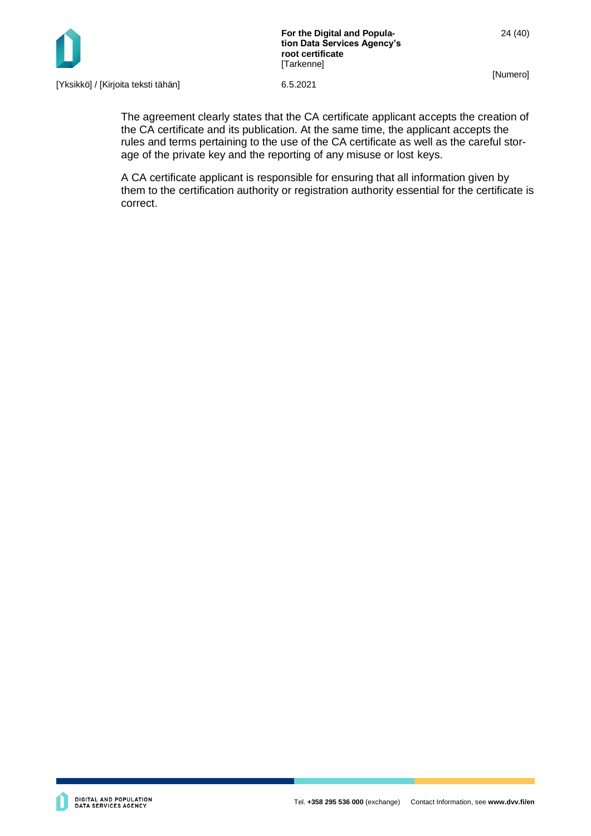

**For the Digital and Population Data Services Agency's root certificate** [Tarkenne]

[Numero]

24 (40)

[Yksikkö] / [Kirjoita teksti tähän] 6.5.2021

The agreement clearly states that the CA certificate applicant accepts the creation of the CA certificate and its publication. At the same time, the applicant accepts the rules and terms pertaining to the use of the CA certificate as well as the careful storage of the private key and the reporting of any misuse or lost keys.

A CA certificate applicant is responsible for ensuring that all information given by them to the certification authority or registration authority essential for the certificate is correct.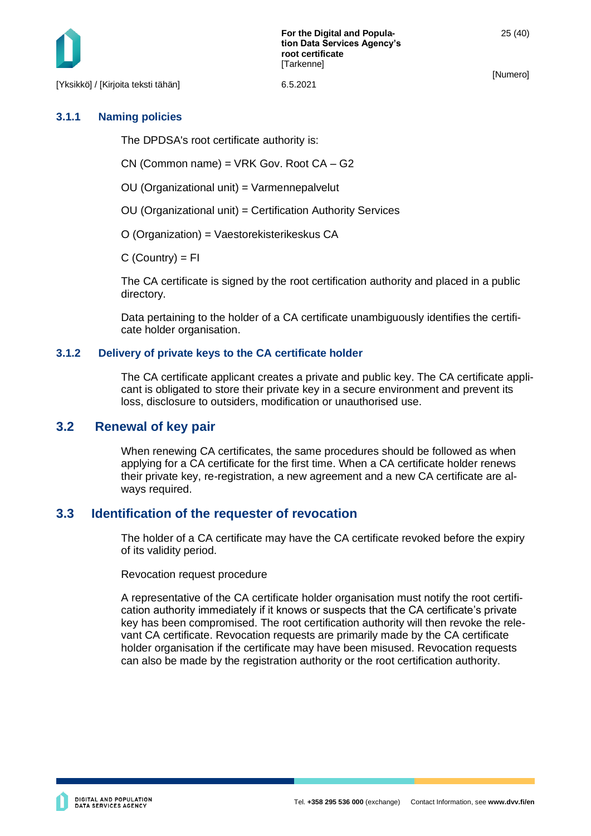[Yksikkö] / [Kirjoita teksti tähän] 6.5.2021

[Numero]

## <span id="page-25-0"></span>**3.1.1 Naming policies**

The DPDSA's root certificate authority is:

CN (Common name) = VRK Gov. Root CA – G2

OU (Organizational unit) = Varmennepalvelut

OU (Organizational unit) = Certification Authority Services

O (Organization) = Vaestorekisterikeskus CA

 $C$  (Country) =  $FI$ 

The CA certificate is signed by the root certification authority and placed in a public directory.

Data pertaining to the holder of a CA certificate unambiguously identifies the certificate holder organisation.

## <span id="page-25-1"></span>**3.1.2 Delivery of private keys to the CA certificate holder**

The CA certificate applicant creates a private and public key. The CA certificate applicant is obligated to store their private key in a secure environment and prevent its loss, disclosure to outsiders, modification or unauthorised use.

## <span id="page-25-2"></span>**3.2 Renewal of key pair**

When renewing CA certificates, the same procedures should be followed as when applying for a CA certificate for the first time. When a CA certificate holder renews their private key, re-registration, a new agreement and a new CA certificate are always required.

## <span id="page-25-3"></span>**3.3 Identification of the requester of revocation**

The holder of a CA certificate may have the CA certificate revoked before the expiry of its validity period.

Revocation request procedure

A representative of the CA certificate holder organisation must notify the root certification authority immediately if it knows or suspects that the CA certificate's private key has been compromised. The root certification authority will then revoke the relevant CA certificate. Revocation requests are primarily made by the CA certificate holder organisation if the certificate may have been misused. Revocation requests can also be made by the registration authority or the root certification authority.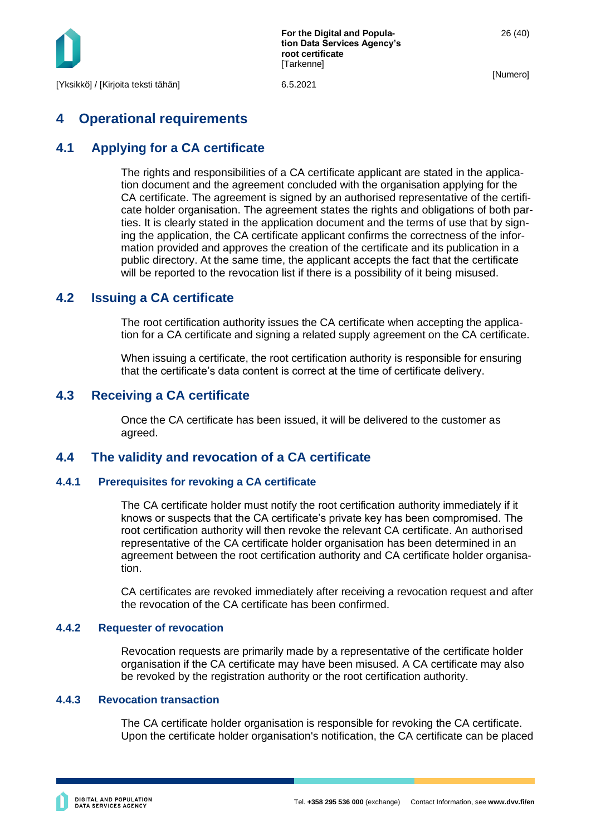

# <span id="page-26-0"></span>**4 Operational requirements**

## <span id="page-26-1"></span>**4.1 Applying for a CA certificate**

The rights and responsibilities of a CA certificate applicant are stated in the application document and the agreement concluded with the organisation applying for the CA certificate. The agreement is signed by an authorised representative of the certificate holder organisation. The agreement states the rights and obligations of both parties. It is clearly stated in the application document and the terms of use that by signing the application, the CA certificate applicant confirms the correctness of the information provided and approves the creation of the certificate and its publication in a public directory. At the same time, the applicant accepts the fact that the certificate will be reported to the revocation list if there is a possibility of it being misused.

## <span id="page-26-2"></span>**4.2 Issuing a CA certificate**

The root certification authority issues the CA certificate when accepting the application for a CA certificate and signing a related supply agreement on the CA certificate.

When issuing a certificate, the root certification authority is responsible for ensuring that the certificate's data content is correct at the time of certificate delivery.

## <span id="page-26-3"></span>**4.3 Receiving a CA certificate**

Once the CA certificate has been issued, it will be delivered to the customer as agreed.

## <span id="page-26-4"></span>**4.4 The validity and revocation of a CA certificate**

#### <span id="page-26-5"></span>**4.4.1 Prerequisites for revoking a CA certificate**

The CA certificate holder must notify the root certification authority immediately if it knows or suspects that the CA certificate's private key has been compromised. The root certification authority will then revoke the relevant CA certificate. An authorised representative of the CA certificate holder organisation has been determined in an agreement between the root certification authority and CA certificate holder organisation.

CA certificates are revoked immediately after receiving a revocation request and after the revocation of the CA certificate has been confirmed.

#### <span id="page-26-6"></span>**4.4.2 Requester of revocation**

Revocation requests are primarily made by a representative of the certificate holder organisation if the CA certificate may have been misused. A CA certificate may also be revoked by the registration authority or the root certification authority.

#### <span id="page-26-7"></span>**4.4.3 Revocation transaction**

The CA certificate holder organisation is responsible for revoking the CA certificate. Upon the certificate holder organisation's notification, the CA certificate can be placed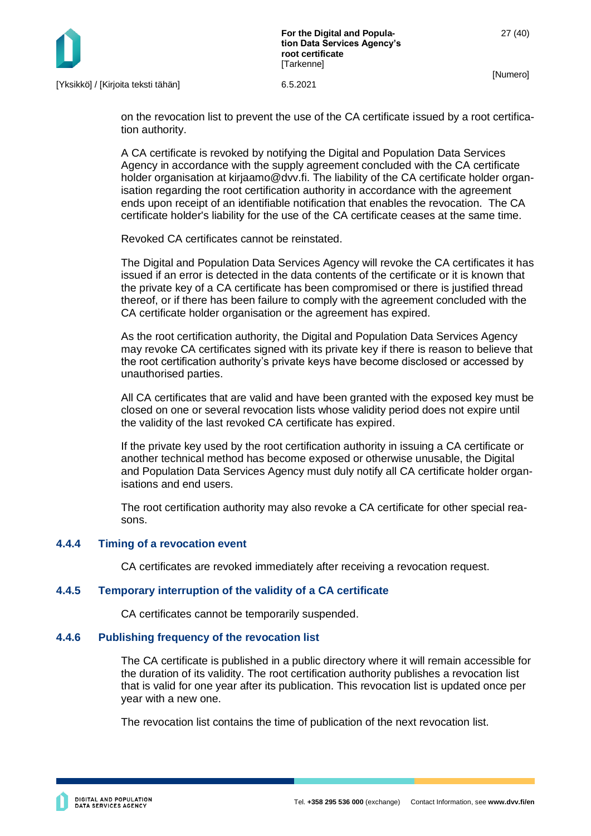

on the revocation list to prevent the use of the CA certificate issued by a root certification authority.

A CA certificate is revoked by notifying the Digital and Population Data Services Agency in accordance with the supply agreement concluded with the CA certificate holder organisation at kirjaamo@dvv.fi. The liability of the CA certificate holder organisation regarding the root certification authority in accordance with the agreement ends upon receipt of an identifiable notification that enables the revocation. The CA certificate holder's liability for the use of the CA certificate ceases at the same time.

Revoked CA certificates cannot be reinstated.

The Digital and Population Data Services Agency will revoke the CA certificates it has issued if an error is detected in the data contents of the certificate or it is known that the private key of a CA certificate has been compromised or there is justified thread thereof, or if there has been failure to comply with the agreement concluded with the CA certificate holder organisation or the agreement has expired.

As the root certification authority, the Digital and Population Data Services Agency may revoke CA certificates signed with its private key if there is reason to believe that the root certification authority's private keys have become disclosed or accessed by unauthorised parties.

All CA certificates that are valid and have been granted with the exposed key must be closed on one or several revocation lists whose validity period does not expire until the validity of the last revoked CA certificate has expired.

If the private key used by the root certification authority in issuing a CA certificate or another technical method has become exposed or otherwise unusable, the Digital and Population Data Services Agency must duly notify all CA certificate holder organisations and end users.

The root certification authority may also revoke a CA certificate for other special reasons.

#### <span id="page-27-0"></span>**4.4.4 Timing of a revocation event**

CA certificates are revoked immediately after receiving a revocation request.

#### <span id="page-27-1"></span>**4.4.5 Temporary interruption of the validity of a CA certificate**

CA certificates cannot be temporarily suspended.

#### <span id="page-27-2"></span>**4.4.6 Publishing frequency of the revocation list**

The CA certificate is published in a public directory where it will remain accessible for the duration of its validity. The root certification authority publishes a revocation list that is valid for one year after its publication. This revocation list is updated once per year with a new one.

The revocation list contains the time of publication of the next revocation list.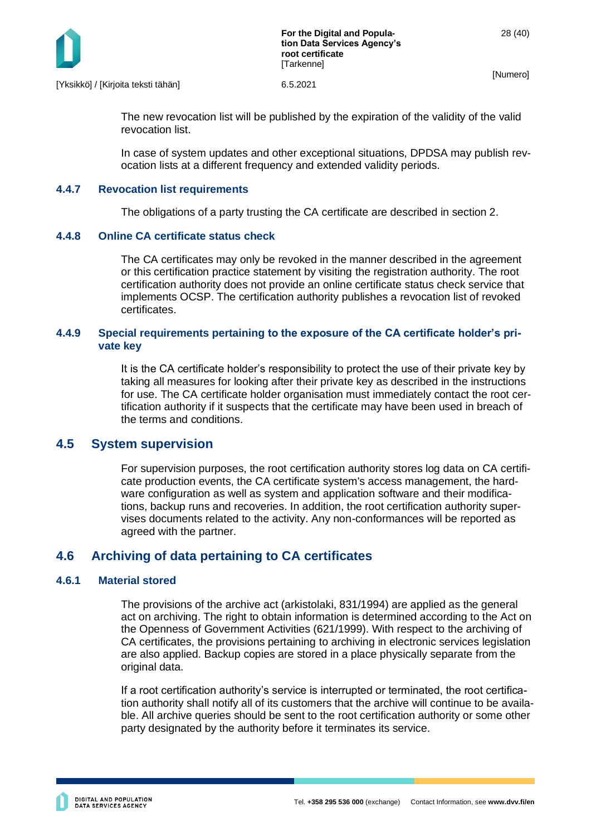

[Yksikkö] / [Kirjoita teksti tähän] 6.5.2021

The new revocation list will be published by the expiration of the validity of the valid revocation list.

In case of system updates and other exceptional situations, DPDSA may publish revocation lists at a different frequency and extended validity periods.

#### <span id="page-28-0"></span>**4.4.7 Revocation list requirements**

The obligations of a party trusting the CA certificate are described in section 2.

#### <span id="page-28-1"></span>**4.4.8 Online CA certificate status check**

The CA certificates may only be revoked in the manner described in the agreement or this certification practice statement by visiting the registration authority. The root certification authority does not provide an online certificate status check service that implements OCSP. The certification authority publishes a revocation list of revoked certificates.

#### <span id="page-28-2"></span>**4.4.9 Special requirements pertaining to the exposure of the CA certificate holder's private key**

It is the CA certificate holder's responsibility to protect the use of their private key by taking all measures for looking after their private key as described in the instructions for use. The CA certificate holder organisation must immediately contact the root certification authority if it suspects that the certificate may have been used in breach of the terms and conditions.

#### <span id="page-28-3"></span>**4.5 System supervision**

For supervision purposes, the root certification authority stores log data on CA certificate production events, the CA certificate system's access management, the hardware configuration as well as system and application software and their modifications, backup runs and recoveries. In addition, the root certification authority supervises documents related to the activity. Any non-conformances will be reported as agreed with the partner.

## <span id="page-28-4"></span>**4.6 Archiving of data pertaining to CA certificates**

#### <span id="page-28-5"></span>**4.6.1 Material stored**

The provisions of the archive act (arkistolaki, 831/1994) are applied as the general act on archiving. The right to obtain information is determined according to the Act on the Openness of Government Activities (621/1999). With respect to the archiving of CA certificates, the provisions pertaining to archiving in electronic services legislation are also applied. Backup copies are stored in a place physically separate from the original data.

If a root certification authority's service is interrupted or terminated, the root certification authority shall notify all of its customers that the archive will continue to be available. All archive queries should be sent to the root certification authority or some other party designated by the authority before it terminates its service.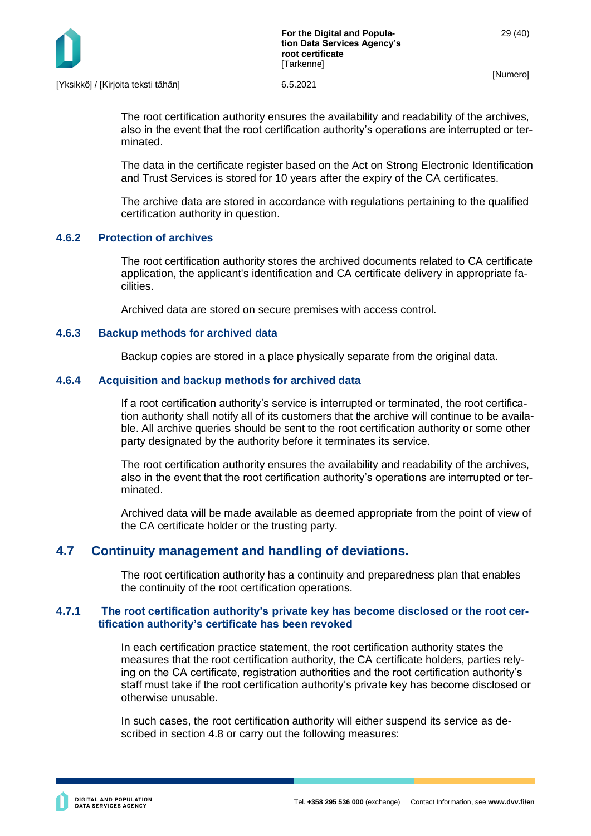

The root certification authority ensures the availability and readability of the archives, also in the event that the root certification authority's operations are interrupted or terminated.

The data in the certificate register based on the Act on Strong Electronic Identification and Trust Services is stored for 10 years after the expiry of the CA certificates.

The archive data are stored in accordance with regulations pertaining to the qualified certification authority in question.

#### <span id="page-29-0"></span>**4.6.2 Protection of archives**

The root certification authority stores the archived documents related to CA certificate application, the applicant's identification and CA certificate delivery in appropriate facilities.

Archived data are stored on secure premises with access control.

#### <span id="page-29-1"></span>**4.6.3 Backup methods for archived data**

Backup copies are stored in a place physically separate from the original data.

#### <span id="page-29-2"></span>**4.6.4 Acquisition and backup methods for archived data**

If a root certification authority's service is interrupted or terminated, the root certification authority shall notify all of its customers that the archive will continue to be available. All archive queries should be sent to the root certification authority or some other party designated by the authority before it terminates its service.

The root certification authority ensures the availability and readability of the archives, also in the event that the root certification authority's operations are interrupted or terminated.

Archived data will be made available as deemed appropriate from the point of view of the CA certificate holder or the trusting party.

## <span id="page-29-3"></span>**4.7 Continuity management and handling of deviations.**

<span id="page-29-4"></span>The root certification authority has a continuity and preparedness plan that enables the continuity of the root certification operations.

#### **4.7.1 The root certification authority's private key has become disclosed or the root certification authority's certificate has been revoked**

In each certification practice statement, the root certification authority states the measures that the root certification authority, the CA certificate holders, parties relying on the CA certificate, registration authorities and the root certification authority's staff must take if the root certification authority's private key has become disclosed or otherwise unusable.

In such cases, the root certification authority will either suspend its service as described in section 4.8 or carry out the following measures: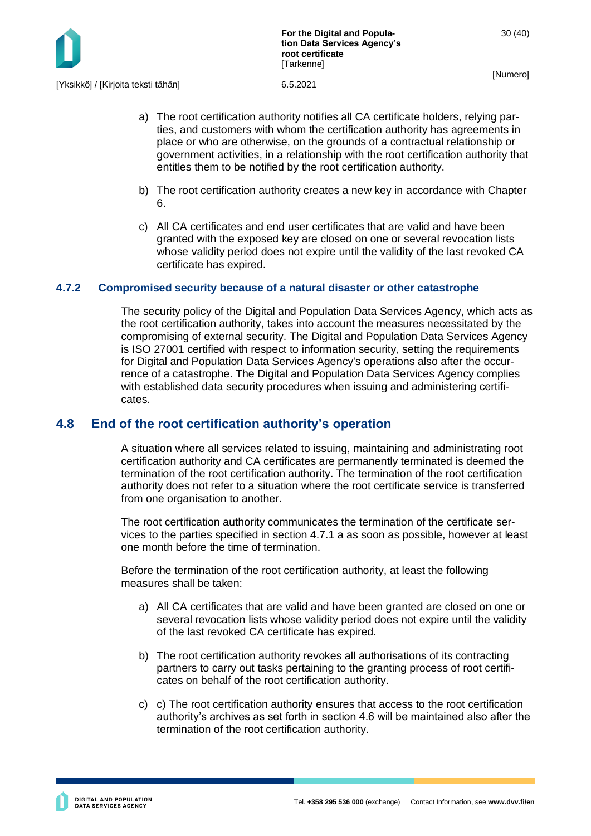

- a) The root certification authority notifies all CA certificate holders, relying parties, and customers with whom the certification authority has agreements in place or who are otherwise, on the grounds of a contractual relationship or government activities, in a relationship with the root certification authority that entitles them to be notified by the root certification authority.
- b) The root certification authority creates a new key in accordance with Chapter 6.
- c) All CA certificates and end user certificates that are valid and have been granted with the exposed key are closed on one or several revocation lists whose validity period does not expire until the validity of the last revoked CA certificate has expired.

#### <span id="page-30-0"></span>**4.7.2 Compromised security because of a natural disaster or other catastrophe**

The security policy of the Digital and Population Data Services Agency, which acts as the root certification authority, takes into account the measures necessitated by the compromising of external security. The Digital and Population Data Services Agency is ISO 27001 certified with respect to information security, setting the requirements for Digital and Population Data Services Agency's operations also after the occurrence of a catastrophe. The Digital and Population Data Services Agency complies with established data security procedures when issuing and administering certificates.

## <span id="page-30-1"></span>**4.8 End of the root certification authority's operation**

A situation where all services related to issuing, maintaining and administrating root certification authority and CA certificates are permanently terminated is deemed the termination of the root certification authority. The termination of the root certification authority does not refer to a situation where the root certificate service is transferred from one organisation to another.

The root certification authority communicates the termination of the certificate services to the parties specified in section 4.7.1 a as soon as possible, however at least one month before the time of termination.

Before the termination of the root certification authority, at least the following measures shall be taken:

- a) All CA certificates that are valid and have been granted are closed on one or several revocation lists whose validity period does not expire until the validity of the last revoked CA certificate has expired.
- b) The root certification authority revokes all authorisations of its contracting partners to carry out tasks pertaining to the granting process of root certificates on behalf of the root certification authority.
- c) c) The root certification authority ensures that access to the root certification authority's archives as set forth in section 4.6 will be maintained also after the termination of the root certification authority.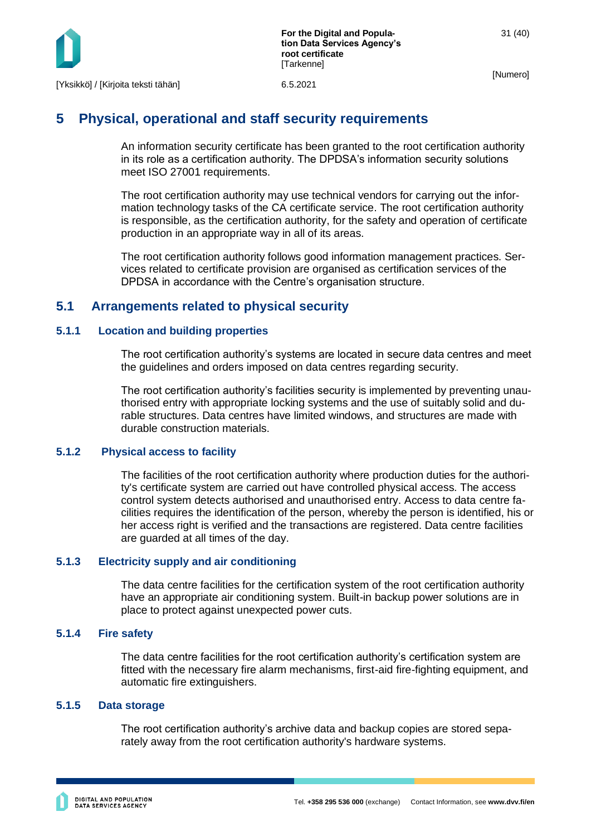

# <span id="page-31-0"></span>**5 Physical, operational and staff security requirements**

An information security certificate has been granted to the root certification authority in its role as a certification authority. The DPDSA's information security solutions meet ISO 27001 requirements.

The root certification authority may use technical vendors for carrying out the information technology tasks of the CA certificate service. The root certification authority is responsible, as the certification authority, for the safety and operation of certificate production in an appropriate way in all of its areas.

The root certification authority follows good information management practices. Services related to certificate provision are organised as certification services of the DPDSA in accordance with the Centre's organisation structure.

## <span id="page-31-1"></span>**5.1 Arrangements related to physical security**

## <span id="page-31-2"></span>**5.1.1 Location and building properties**

The root certification authority's systems are located in secure data centres and meet the guidelines and orders imposed on data centres regarding security.

The root certification authority's facilities security is implemented by preventing unauthorised entry with appropriate locking systems and the use of suitably solid and durable structures. Data centres have limited windows, and structures are made with durable construction materials.

#### **5.1.2 Physical access to facility**

<span id="page-31-3"></span>The facilities of the root certification authority where production duties for the authority's certificate system are carried out have controlled physical access. The access control system detects authorised and unauthorised entry. Access to data centre facilities requires the identification of the person, whereby the person is identified, his or her access right is verified and the transactions are registered. Data centre facilities are guarded at all times of the day.

#### <span id="page-31-4"></span>**5.1.3 Electricity supply and air conditioning**

The data centre facilities for the certification system of the root certification authority have an appropriate air conditioning system. Built-in backup power solutions are in place to protect against unexpected power cuts.

#### <span id="page-31-5"></span>**5.1.4 Fire safety**

The data centre facilities for the root certification authority's certification system are fitted with the necessary fire alarm mechanisms, first-aid fire-fighting equipment, and automatic fire extinguishers.

#### <span id="page-31-6"></span>**5.1.5 Data storage**

The root certification authority's archive data and backup copies are stored separately away from the root certification authority's hardware systems.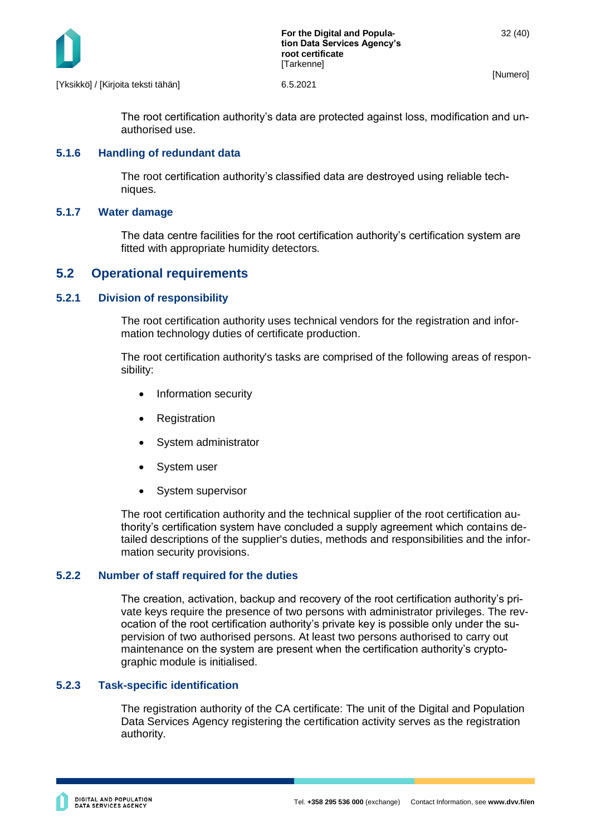

[Yksikkö] / [Kirjoita teksti tähän] 6.5.2021

The root certification authority's data are protected against loss, modification and unauthorised use.

#### <span id="page-32-0"></span>**5.1.6 Handling of redundant data**

The root certification authority's classified data are destroyed using reliable techniques.

#### <span id="page-32-1"></span>**5.1.7 Water damage**

The data centre facilities for the root certification authority's certification system are fitted with appropriate humidity detectors.

## <span id="page-32-2"></span>**5.2 Operational requirements**

#### <span id="page-32-3"></span>**5.2.1 Division of responsibility**

The root certification authority uses technical vendors for the registration and information technology duties of certificate production.

The root certification authority's tasks are comprised of the following areas of responsibility:

- Information security
- **Registration**
- System administrator
- System user
- System supervisor

The root certification authority and the technical supplier of the root certification authority's certification system have concluded a supply agreement which contains detailed descriptions of the supplier's duties, methods and responsibilities and the information security provisions.

#### <span id="page-32-4"></span>**5.2.2 Number of staff required for the duties**

The creation, activation, backup and recovery of the root certification authority's private keys require the presence of two persons with administrator privileges. The revocation of the root certification authority's private key is possible only under the supervision of two authorised persons. At least two persons authorised to carry out maintenance on the system are present when the certification authority's cryptographic module is initialised.

#### <span id="page-32-5"></span>**5.2.3 Task-specific identification**

The registration authority of the CA certificate: The unit of the Digital and Population Data Services Agency registering the certification activity serves as the registration authority.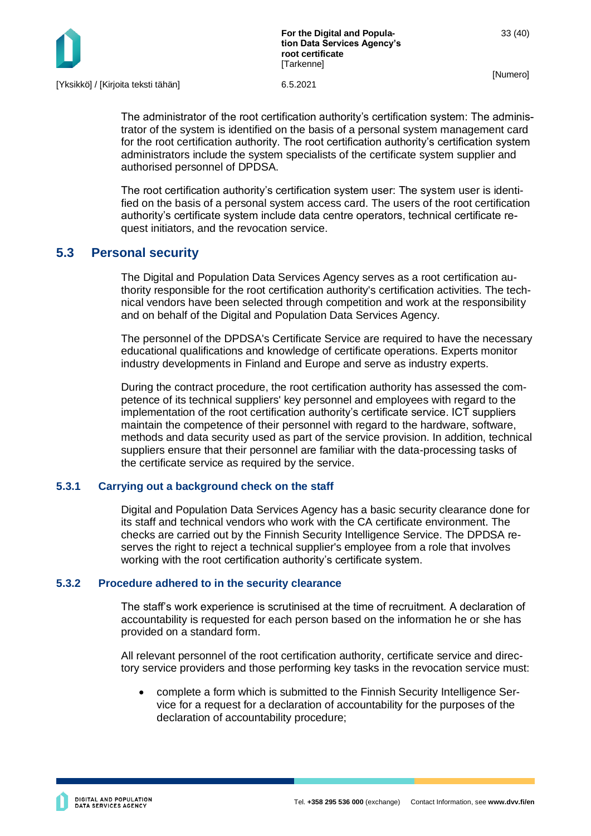

The administrator of the root certification authority's certification system: The administrator of the system is identified on the basis of a personal system management card for the root certification authority. The root certification authority's certification system administrators include the system specialists of the certificate system supplier and authorised personnel of DPDSA.

The root certification authority's certification system user: The system user is identified on the basis of a personal system access card. The users of the root certification authority's certificate system include data centre operators, technical certificate request initiators, and the revocation service.

## <span id="page-33-0"></span>**5.3 Personal security**

The Digital and Population Data Services Agency serves as a root certification authority responsible for the root certification authority's certification activities. The technical vendors have been selected through competition and work at the responsibility and on behalf of the Digital and Population Data Services Agency.

The personnel of the DPDSA's Certificate Service are required to have the necessary educational qualifications and knowledge of certificate operations. Experts monitor industry developments in Finland and Europe and serve as industry experts.

During the contract procedure, the root certification authority has assessed the competence of its technical suppliers' key personnel and employees with regard to the implementation of the root certification authority's certificate service. ICT suppliers maintain the competence of their personnel with regard to the hardware, software, methods and data security used as part of the service provision. In addition, technical suppliers ensure that their personnel are familiar with the data-processing tasks of the certificate service as required by the service.

## <span id="page-33-1"></span>**5.3.1 Carrying out a background check on the staff**

Digital and Population Data Services Agency has a basic security clearance done for its staff and technical vendors who work with the CA certificate environment. The checks are carried out by the Finnish Security Intelligence Service. The DPDSA reserves the right to reject a technical supplier's employee from a role that involves working with the root certification authority's certificate system.

#### <span id="page-33-2"></span>**5.3.2 Procedure adhered to in the security clearance**

The staff's work experience is scrutinised at the time of recruitment. A declaration of accountability is requested for each person based on the information he or she has provided on a standard form.

All relevant personnel of the root certification authority, certificate service and directory service providers and those performing key tasks in the revocation service must:

• complete a form which is submitted to the Finnish Security Intelligence Service for a request for a declaration of accountability for the purposes of the declaration of accountability procedure;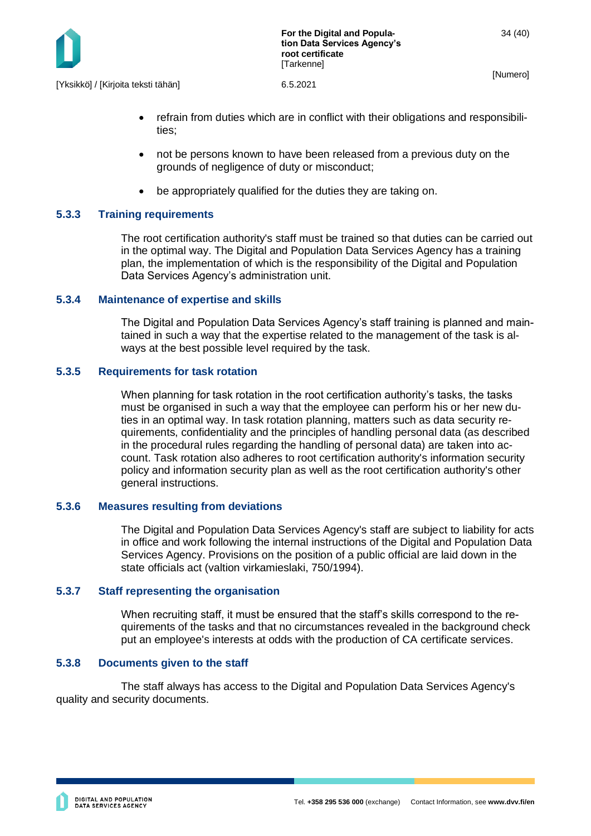

- refrain from duties which are in conflict with their obligations and responsibilities;
- not be persons known to have been released from a previous duty on the grounds of negligence of duty or misconduct;
- be appropriately qualified for the duties they are taking on.

## <span id="page-34-0"></span>**5.3.3 Training requirements**

The root certification authority's staff must be trained so that duties can be carried out in the optimal way. The Digital and Population Data Services Agency has a training plan, the implementation of which is the responsibility of the Digital and Population Data Services Agency's administration unit.

## <span id="page-34-1"></span>**5.3.4 Maintenance of expertise and skills**

The Digital and Population Data Services Agency's staff training is planned and maintained in such a way that the expertise related to the management of the task is always at the best possible level required by the task.

#### <span id="page-34-2"></span>**5.3.5 Requirements for task rotation**

When planning for task rotation in the root certification authority's tasks, the tasks must be organised in such a way that the employee can perform his or her new duties in an optimal way. In task rotation planning, matters such as data security requirements, confidentiality and the principles of handling personal data (as described in the procedural rules regarding the handling of personal data) are taken into account. Task rotation also adheres to root certification authority's information security policy and information security plan as well as the root certification authority's other general instructions.

#### <span id="page-34-3"></span>**5.3.6 Measures resulting from deviations**

The Digital and Population Data Services Agency's staff are subject to liability for acts in office and work following the internal instructions of the Digital and Population Data Services Agency. Provisions on the position of a public official are laid down in the state officials act (valtion virkamieslaki, 750/1994).

#### <span id="page-34-4"></span>**5.3.7 Staff representing the organisation**

When recruiting staff, it must be ensured that the staff's skills correspond to the requirements of the tasks and that no circumstances revealed in the background check put an employee's interests at odds with the production of CA certificate services.

#### <span id="page-34-5"></span>**5.3.8 Documents given to the staff**

The staff always has access to the Digital and Population Data Services Agency's quality and security documents.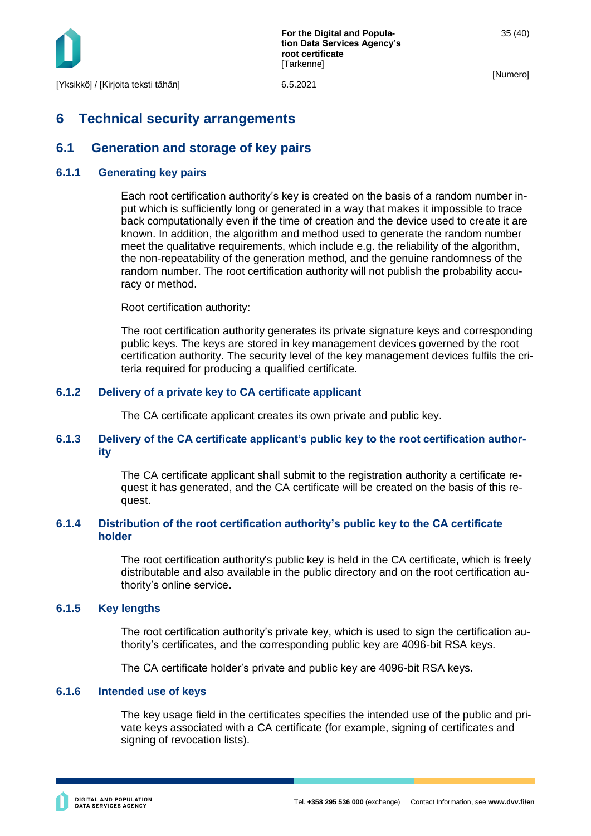

# <span id="page-35-0"></span>**6 Technical security arrangements**

## <span id="page-35-1"></span>**6.1 Generation and storage of key pairs**

#### <span id="page-35-2"></span>**6.1.1 Generating key pairs**

Each root certification authority's key is created on the basis of a random number input which is sufficiently long or generated in a way that makes it impossible to trace back computationally even if the time of creation and the device used to create it are known. In addition, the algorithm and method used to generate the random number meet the qualitative requirements, which include e.g. the reliability of the algorithm, the non-repeatability of the generation method, and the genuine randomness of the random number. The root certification authority will not publish the probability accuracy or method.

Root certification authority:

The root certification authority generates its private signature keys and corresponding public keys. The keys are stored in key management devices governed by the root certification authority. The security level of the key management devices fulfils the criteria required for producing a qualified certificate.

## <span id="page-35-3"></span>**6.1.2 Delivery of a private key to CA certificate applicant**

The CA certificate applicant creates its own private and public key.

#### <span id="page-35-4"></span>**6.1.3 Delivery of the CA certificate applicant's public key to the root certification authority**

The CA certificate applicant shall submit to the registration authority a certificate request it has generated, and the CA certificate will be created on the basis of this request.

#### <span id="page-35-5"></span>**6.1.4 Distribution of the root certification authority's public key to the CA certificate holder**

The root certification authority's public key is held in the CA certificate, which is freely distributable and also available in the public directory and on the root certification authority's online service.

#### <span id="page-35-6"></span>**6.1.5 Key lengths**

The root certification authority's private key, which is used to sign the certification authority's certificates, and the corresponding public key are 4096-bit RSA keys.

The CA certificate holder's private and public key are 4096-bit RSA keys.

#### <span id="page-35-7"></span>**6.1.6 Intended use of keys**

The key usage field in the certificates specifies the intended use of the public and private keys associated with a CA certificate (for example, signing of certificates and signing of revocation lists).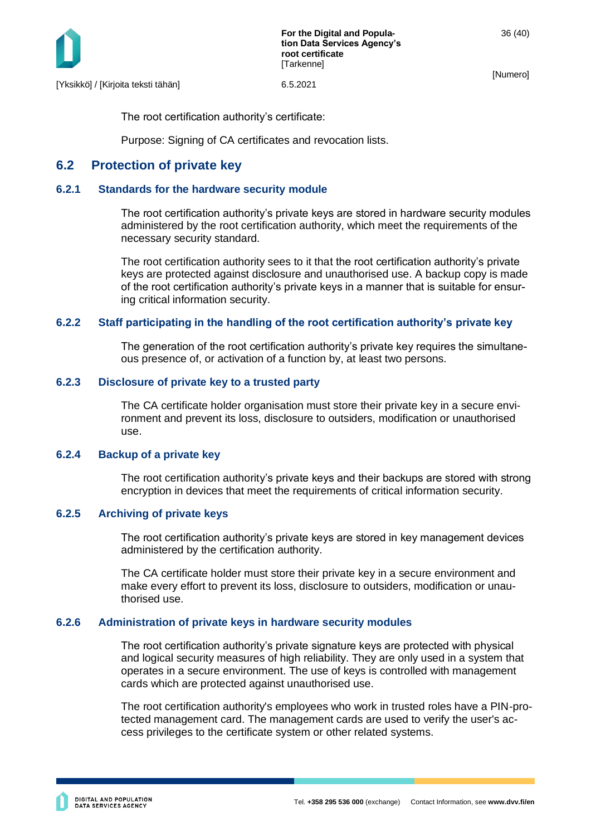

The root certification authority's certificate:

Purpose: Signing of CA certificates and revocation lists.

## <span id="page-36-0"></span>**6.2 Protection of private key**

#### <span id="page-36-1"></span>**6.2.1 Standards for the hardware security module**

The root certification authority's private keys are stored in hardware security modules administered by the root certification authority, which meet the requirements of the necessary security standard.

The root certification authority sees to it that the root certification authority's private keys are protected against disclosure and unauthorised use. A backup copy is made of the root certification authority's private keys in a manner that is suitable for ensuring critical information security.

#### <span id="page-36-2"></span>**6.2.2 Staff participating in the handling of the root certification authority's private key**

The generation of the root certification authority's private key requires the simultaneous presence of, or activation of a function by, at least two persons.

#### <span id="page-36-3"></span>**6.2.3 Disclosure of private key to a trusted party**

The CA certificate holder organisation must store their private key in a secure environment and prevent its loss, disclosure to outsiders, modification or unauthorised use.

#### <span id="page-36-4"></span>**6.2.4 Backup of a private key**

The root certification authority's private keys and their backups are stored with strong encryption in devices that meet the requirements of critical information security.

#### <span id="page-36-5"></span>**6.2.5 Archiving of private keys**

The root certification authority's private keys are stored in key management devices administered by the certification authority.

The CA certificate holder must store their private key in a secure environment and make every effort to prevent its loss, disclosure to outsiders, modification or unauthorised use.

#### <span id="page-36-6"></span>**6.2.6 Administration of private keys in hardware security modules**

The root certification authority's private signature keys are protected with physical and logical security measures of high reliability. They are only used in a system that operates in a secure environment. The use of keys is controlled with management cards which are protected against unauthorised use.

The root certification authority's employees who work in trusted roles have a PIN-protected management card. The management cards are used to verify the user's access privileges to the certificate system or other related systems.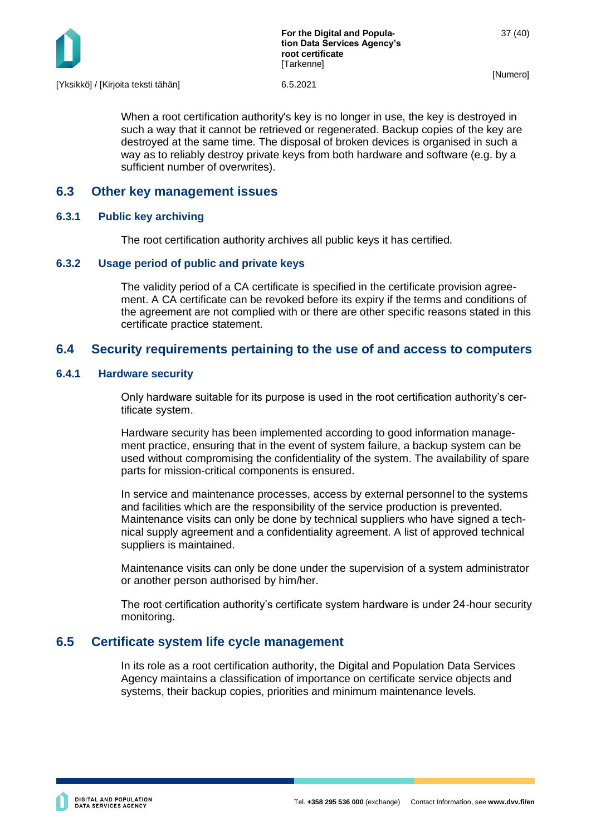

When a root certification authority's key is no longer in use, the key is destroyed in such a way that it cannot be retrieved or regenerated. Backup copies of the key are destroyed at the same time. The disposal of broken devices is organised in such a way as to reliably destroy private keys from both hardware and software (e.g. by a sufficient number of overwrites).

## <span id="page-37-0"></span>**6.3 Other key management issues**

## <span id="page-37-1"></span>**6.3.1 Public key archiving**

The root certification authority archives all public keys it has certified.

#### <span id="page-37-2"></span>**6.3.2 Usage period of public and private keys**

The validity period of a CA certificate is specified in the certificate provision agreement. A CA certificate can be revoked before its expiry if the terms and conditions of the agreement are not complied with or there are other specific reasons stated in this certificate practice statement.

## <span id="page-37-3"></span>**6.4 Security requirements pertaining to the use of and access to computers**

## <span id="page-37-4"></span>**6.4.1 Hardware security**

Only hardware suitable for its purpose is used in the root certification authority's certificate system.

Hardware security has been implemented according to good information management practice, ensuring that in the event of system failure, a backup system can be used without compromising the confidentiality of the system. The availability of spare parts for mission-critical components is ensured.

In service and maintenance processes, access by external personnel to the systems and facilities which are the responsibility of the service production is prevented. Maintenance visits can only be done by technical suppliers who have signed a technical supply agreement and a confidentiality agreement. A list of approved technical suppliers is maintained.

Maintenance visits can only be done under the supervision of a system administrator or another person authorised by him/her.

The root certification authority's certificate system hardware is under 24-hour security monitoring.

## <span id="page-37-5"></span>**6.5 Certificate system life cycle management**

In its role as a root certification authority, the Digital and Population Data Services Agency maintains a classification of importance on certificate service objects and systems, their backup copies, priorities and minimum maintenance levels.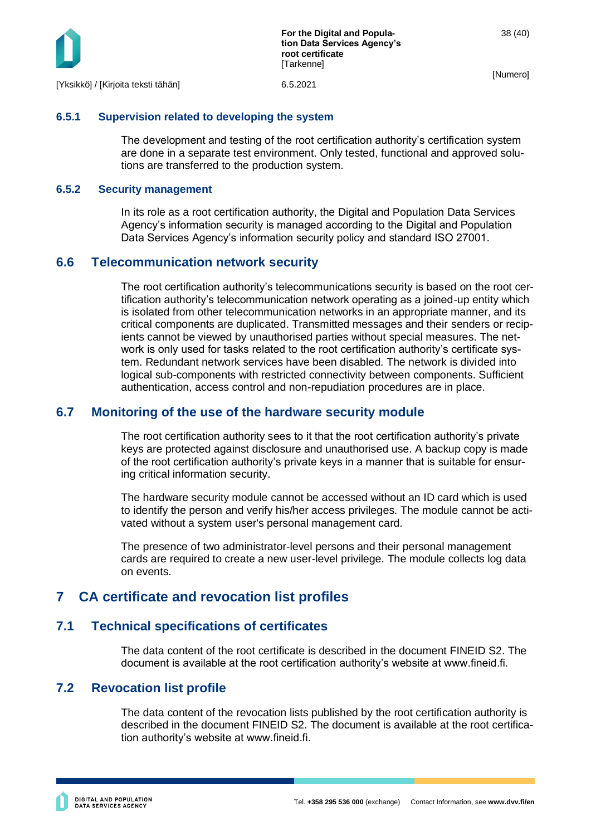

#### <span id="page-38-0"></span>**6.5.1 Supervision related to developing the system**

The development and testing of the root certification authority's certification system are done in a separate test environment. Only tested, functional and approved solutions are transferred to the production system.

#### <span id="page-38-1"></span>**6.5.2 Security management**

In its role as a root certification authority, the Digital and Population Data Services Agency's information security is managed according to the Digital and Population Data Services Agency's information security policy and standard ISO 27001.

## <span id="page-38-2"></span>**6.6 Telecommunication network security**

The root certification authority's telecommunications security is based on the root certification authority's telecommunication network operating as a joined-up entity which is isolated from other telecommunication networks in an appropriate manner, and its critical components are duplicated. Transmitted messages and their senders or recipients cannot be viewed by unauthorised parties without special measures. The network is only used for tasks related to the root certification authority's certificate system. Redundant network services have been disabled. The network is divided into logical sub-components with restricted connectivity between components. Sufficient authentication, access control and non-repudiation procedures are in place.

## <span id="page-38-3"></span>**6.7 Monitoring of the use of the hardware security module**

The root certification authority sees to it that the root certification authority's private keys are protected against disclosure and unauthorised use. A backup copy is made of the root certification authority's private keys in a manner that is suitable for ensuring critical information security.

The hardware security module cannot be accessed without an ID card which is used to identify the person and verify his/her access privileges. The module cannot be activated without a system user's personal management card.

The presence of two administrator-level persons and their personal management cards are required to create a new user-level privilege. The module collects log data on events.

# <span id="page-38-4"></span>**7 CA certificate and revocation list profiles**

## <span id="page-38-5"></span>**7.1 Technical specifications of certificates**

The data content of the root certificate is described in the document FINEID S2. The document is available at the root certification authority's website at www.fineid.fi.

## <span id="page-38-6"></span>**7.2 Revocation list profile**

The data content of the revocation lists published by the root certification authority is described in the document FINEID S2. The document is available at the root certification authority's website at www.fineid.fi.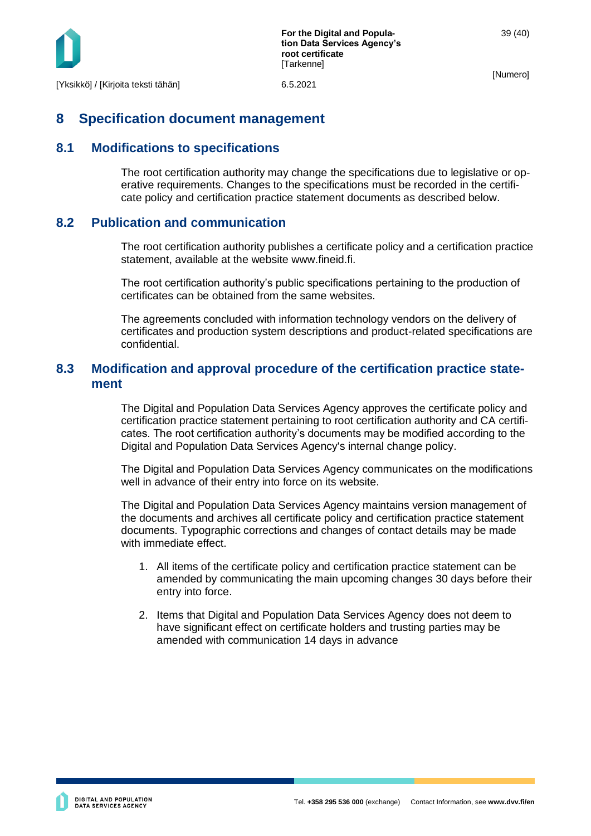

# <span id="page-39-0"></span>**8 Specification document management**

## <span id="page-39-1"></span>**8.1 Modifications to specifications**

The root certification authority may change the specifications due to legislative or operative requirements. Changes to the specifications must be recorded in the certificate policy and certification practice statement documents as described below.

## <span id="page-39-2"></span>**8.2 Publication and communication**

The root certification authority publishes a certificate policy and a certification practice statement, available at the website www.fineid.fi.

The root certification authority's public specifications pertaining to the production of certificates can be obtained from the same websites.

The agreements concluded with information technology vendors on the delivery of certificates and production system descriptions and product-related specifications are confidential.

## <span id="page-39-3"></span>**8.3 Modification and approval procedure of the certification practice statement**

The Digital and Population Data Services Agency approves the certificate policy and certification practice statement pertaining to root certification authority and CA certificates. The root certification authority's documents may be modified according to the Digital and Population Data Services Agency's internal change policy.

The Digital and Population Data Services Agency communicates on the modifications well in advance of their entry into force on its website.

The Digital and Population Data Services Agency maintains version management of the documents and archives all certificate policy and certification practice statement documents. Typographic corrections and changes of contact details may be made with immediate effect.

- 1. All items of the certificate policy and certification practice statement can be amended by communicating the main upcoming changes 30 days before their entry into force.
- 2. Items that Digital and Population Data Services Agency does not deem to have significant effect on certificate holders and trusting parties may be amended with communication 14 days in advance